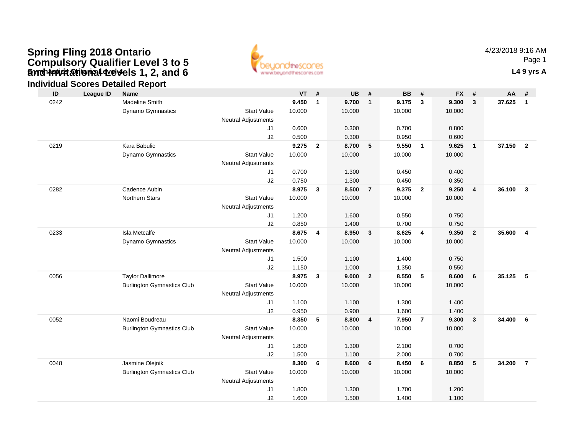### **Gynch invitational devels 1, 2, and 6** The Contact of Contact Contact Contact Contact Contact Contact Contact Contact Contact Contact Contact Contact Contact Contact Contact Contact Contact Contact Contact Contact Contact **Spring Fling 2018 Ontario Compulsory Qualifier Level 3 to 5 and Invitational Levels 1, 2, and 6**



|  | <b>Individual Scores Detailed Report</b> |  |
|--|------------------------------------------|--|
|  |                                          |  |

| ID   | <b>League ID</b> | <b>Name</b>                       |                                  | <b>VT</b> | #              | <b>UB</b> | $\pmb{\#}$              | <b>BB</b> | #                       | <b>FX</b> | #                       | AA       | #                       |
|------|------------------|-----------------------------------|----------------------------------|-----------|----------------|-----------|-------------------------|-----------|-------------------------|-----------|-------------------------|----------|-------------------------|
| 0242 |                  | Madeline Smith                    |                                  | 9.450     | $\mathbf{1}$   | 9.700     | $\mathbf{1}$            | 9.175     | $\mathbf{3}$            | 9.300     | $\mathbf{3}$            | 37.625   | $\overline{1}$          |
|      |                  | Dynamo Gymnastics                 | <b>Start Value</b>               | 10.000    |                | 10.000    |                         | 10.000    |                         | 10.000    |                         |          |                         |
|      |                  |                                   | <b>Neutral Adjustments</b>       |           |                |           |                         |           |                         |           |                         |          |                         |
|      |                  |                                   | J <sub>1</sub>                   | 0.600     |                | 0.300     |                         | 0.700     |                         | 0.800     |                         |          |                         |
|      |                  |                                   | J2                               | 0.500     |                | 0.300     |                         | 0.950     |                         | 0.600     |                         |          |                         |
| 0219 |                  | Kara Babulic                      |                                  | 9.275     | $\overline{2}$ | 8.700     | 5                       | 9.550     | $\overline{1}$          | 9.625     | $\overline{1}$          | 37.150 2 |                         |
|      |                  | Dynamo Gymnastics                 | <b>Start Value</b>               | 10.000    |                | 10.000    |                         | 10.000    |                         | 10.000    |                         |          |                         |
|      |                  |                                   | <b>Neutral Adjustments</b>       |           |                |           |                         |           |                         |           |                         |          |                         |
|      |                  |                                   | J1                               | 0.700     |                | 1.300     |                         | 0.450     |                         | 0.400     |                         |          |                         |
|      |                  |                                   | J2                               | 0.750     |                | 1.300     |                         | 0.450     |                         | 0.350     |                         |          |                         |
| 0282 |                  | Cadence Aubin                     |                                  | 8.975     | $\mathbf{3}$   | 8.500     | $\overline{7}$          | 9.375     | $\overline{\mathbf{2}}$ | 9.250     | $\overline{\mathbf{4}}$ | 36.100   | $\overline{\mathbf{3}}$ |
|      |                  | <b>Northern Stars</b>             | <b>Start Value</b>               | 10.000    |                | 10.000    |                         | 10.000    |                         | 10.000    |                         |          |                         |
|      |                  |                                   | <b>Neutral Adjustments</b>       |           |                |           |                         |           |                         |           |                         |          |                         |
|      |                  |                                   | J <sub>1</sub>                   | 1.200     |                | 1.600     |                         | 0.550     |                         | 0.750     |                         |          |                         |
|      |                  |                                   | J2                               | 0.850     |                | 1.400     |                         | 0.700     |                         | 0.750     |                         |          |                         |
| 0233 |                  | <b>Isla Metcalfe</b>              |                                  | 8.675     | 4              | 8.950     | $\mathbf{3}$            | 8.625     | $\overline{4}$          | 9.350     | $\overline{2}$          | 35.600   | 4                       |
|      |                  | Dynamo Gymnastics                 | <b>Start Value</b>               | 10.000    |                | 10.000    |                         | 10.000    |                         | 10.000    |                         |          |                         |
|      |                  |                                   | <b>Neutral Adjustments</b><br>J1 | 1.500     |                | 1.100     |                         | 1.400     |                         | 0.750     |                         |          |                         |
|      |                  |                                   | J2                               | 1.150     |                | 1.000     |                         | 1.350     |                         | 0.550     |                         |          |                         |
| 0056 |                  | <b>Taylor Dallimore</b>           |                                  | 8.975     | 3              | 9.000     | $\overline{2}$          | 8.550     | $5\phantom{.0}$         | 8.600     | 6                       | 35.125   | 5                       |
|      |                  | <b>Burlington Gymnastics Club</b> | <b>Start Value</b>               | 10.000    |                | 10.000    |                         | 10.000    |                         | 10.000    |                         |          |                         |
|      |                  |                                   | <b>Neutral Adjustments</b>       |           |                |           |                         |           |                         |           |                         |          |                         |
|      |                  |                                   | J1                               | 1.100     |                | 1.100     |                         | 1.300     |                         | 1.400     |                         |          |                         |
|      |                  |                                   | J2                               | 0.950     |                | 0.900     |                         | 1.600     |                         | 1.400     |                         |          |                         |
| 0052 |                  | Naomi Boudreau                    |                                  | 8.350     | 5              | 8.800     | $\overline{\mathbf{4}}$ | 7.950     | $\overline{7}$          | 9.300     | $\mathbf{3}$            | 34.400   | 6                       |
|      |                  | <b>Burlington Gymnastics Club</b> | <b>Start Value</b>               | 10.000    |                | 10.000    |                         | 10.000    |                         | 10.000    |                         |          |                         |
|      |                  |                                   | <b>Neutral Adjustments</b>       |           |                |           |                         |           |                         |           |                         |          |                         |
|      |                  |                                   | J1                               | 1.800     |                | 1.300     |                         | 2.100     |                         | 0.700     |                         |          |                         |
|      |                  |                                   | J2                               | 1.500     |                | 1.100     |                         | 2.000     |                         | 0.700     |                         |          |                         |
| 0048 |                  | Jasmine Olejnik                   |                                  | 8.300     | 6              | 8.600     | 6                       | 8.450     | 6                       | 8.850     | 5                       | 34.200   | $\overline{7}$          |
|      |                  | <b>Burlington Gymnastics Club</b> | <b>Start Value</b>               | 10.000    |                | 10.000    |                         | 10.000    |                         | 10.000    |                         |          |                         |
|      |                  |                                   | <b>Neutral Adjustments</b>       |           |                |           |                         |           |                         |           |                         |          |                         |
|      |                  |                                   | J <sub>1</sub>                   | 1.800     |                | 1.300     |                         | 1.700     |                         | 1.200     |                         |          |                         |
|      |                  |                                   | J2                               | 1.600     |                | 1.500     |                         | 1.400     |                         | 1.100     |                         |          |                         |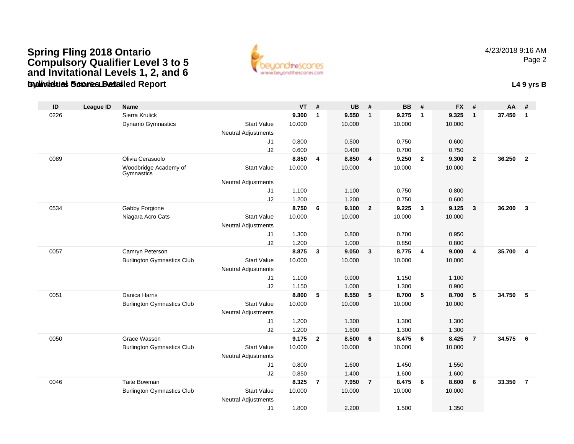#### **Gymnastics Ontario Level 4Individual Scores Detailed Report L4 9 yrs BSpring Fling 2018 Ontario Compulsory Qualifier Level 3 to 5 and Invitational Levels 1, 2, and 6**



| ID   | <b>League ID</b> | <b>Name</b>                         |                                  | <b>VT</b> | #              | <b>UB</b> | #              | <b>BB</b> | #                       | <b>FX</b> | #                       | <b>AA</b> | #                       |
|------|------------------|-------------------------------------|----------------------------------|-----------|----------------|-----------|----------------|-----------|-------------------------|-----------|-------------------------|-----------|-------------------------|
| 0226 |                  | Sierra Krulick                      |                                  | 9.300     | $\mathbf{1}$   | 9.550     | $\mathbf{1}$   | 9.275     | $\mathbf{1}$            | 9.325     | $\mathbf{1}$            | 37.450    | $\mathbf{1}$            |
|      |                  | Dynamo Gymnastics                   | <b>Start Value</b>               | 10.000    |                | 10.000    |                | 10.000    |                         | 10.000    |                         |           |                         |
|      |                  |                                     | <b>Neutral Adjustments</b>       |           |                |           |                |           |                         |           |                         |           |                         |
|      |                  |                                     | J1                               | 0.800     |                | 0.500     |                | 0.750     |                         | 0.600     |                         |           |                         |
|      |                  |                                     | J2                               | 0.600     |                | 0.400     |                | 0.700     |                         | 0.750     |                         |           |                         |
| 0089 |                  | Olivia Cerasuolo                    |                                  | 8.850     | 4              | 8.850     | $\overline{4}$ | 9.250     | $\overline{2}$          | 9.300     | $\overline{2}$          | 36.250    | $\overline{2}$          |
|      |                  | Woodbridge Academy of<br>Gymnastics | <b>Start Value</b>               | 10.000    |                | 10.000    |                | 10.000    |                         | 10.000    |                         |           |                         |
|      |                  |                                     | <b>Neutral Adjustments</b>       |           |                |           |                |           |                         |           |                         |           |                         |
|      |                  |                                     | J1                               | 1.100     |                | 1.100     |                | 0.750     |                         | 0.800     |                         |           |                         |
|      |                  |                                     | J2                               | 1.200     |                | 1.200     |                | 0.750     |                         | 0.600     |                         |           |                         |
| 0534 |                  | Gabby Forgione                      |                                  | 8.750     | 6              | 9.100     | $\overline{2}$ | 9.225     | $\mathbf{3}$            | 9.125     | $\overline{\mathbf{3}}$ | 36.200    | $\mathbf{3}$            |
|      |                  | Niagara Acro Cats                   | <b>Start Value</b>               | 10.000    |                | 10.000    |                | 10.000    |                         | 10.000    |                         |           |                         |
|      |                  |                                     | <b>Neutral Adjustments</b>       |           |                |           |                |           |                         |           |                         |           |                         |
|      |                  |                                     | J1                               | 1.300     |                | 0.800     |                | 0.700     |                         | 0.950     |                         |           |                         |
|      |                  |                                     | J2                               | 1.200     |                | 1.000     |                | 0.850     |                         | 0.800     |                         |           |                         |
| 0057 |                  | Camryn Peterson                     |                                  | 8.875     | $\mathbf{3}$   | 9.050     | $\mathbf{3}$   | 8.775     | $\overline{\mathbf{4}}$ | 9.000     | $\overline{4}$          | 35.700    | $\overline{\mathbf{4}}$ |
|      |                  | <b>Burlington Gymnastics Club</b>   | <b>Start Value</b>               | 10.000    |                | 10.000    |                | 10.000    |                         | 10.000    |                         |           |                         |
|      |                  |                                     | <b>Neutral Adjustments</b><br>J1 | 1.100     |                | 0.900     |                | 1.150     |                         | 1.100     |                         |           |                         |
|      |                  |                                     | J2                               | 1.150     |                | 1.000     |                | 1.300     |                         | 0.900     |                         |           |                         |
| 0051 |                  | Danica Harris                       |                                  | 8.800     | 5              | 8.550     | 5              | 8.700     | 5                       | 8.700     | 5                       | 34.750    | 5                       |
|      |                  | <b>Burlington Gymnastics Club</b>   | <b>Start Value</b>               | 10.000    |                | 10.000    |                | 10.000    |                         | 10.000    |                         |           |                         |
|      |                  |                                     | <b>Neutral Adjustments</b>       |           |                |           |                |           |                         |           |                         |           |                         |
|      |                  |                                     | J1                               | 1.200     |                | 1.300     |                | 1.300     |                         | 1.300     |                         |           |                         |
|      |                  |                                     | J2                               | 1.200     |                | 1.600     |                | 1.300     |                         | 1.300     |                         |           |                         |
| 0050 |                  | Grace Wasson                        |                                  | 9.175     | $\overline{2}$ | 8.500     | 6              | 8.475     | 6                       | 8.425     | $\overline{7}$          | 34.575    | 6                       |
|      |                  | <b>Burlington Gymnastics Club</b>   | <b>Start Value</b>               | 10.000    |                | 10.000    |                | 10.000    |                         | 10.000    |                         |           |                         |
|      |                  |                                     | <b>Neutral Adjustments</b>       |           |                |           |                |           |                         |           |                         |           |                         |
|      |                  |                                     | J1                               | 0.800     |                | 1.600     |                | 1.450     |                         | 1.550     |                         |           |                         |
|      |                  |                                     | J2                               | 0.850     |                | 1.400     |                | 1.600     |                         | 1.600     |                         |           |                         |
| 0046 |                  | Taite Bowman                        |                                  | 8.325     | $\overline{7}$ | 7.950     | $\overline{7}$ | 8.475     | 6                       | 8.600     | 6                       | 33.350    | $\overline{7}$          |
|      |                  | <b>Burlington Gymnastics Club</b>   | <b>Start Value</b>               | 10.000    |                | 10.000    |                | 10.000    |                         | 10.000    |                         |           |                         |
|      |                  |                                     | <b>Neutral Adjustments</b>       |           |                |           |                |           |                         |           |                         |           |                         |
|      |                  |                                     | J1                               | 1.800     |                | 2.200     |                | 1.500     |                         | 1.350     |                         |           |                         |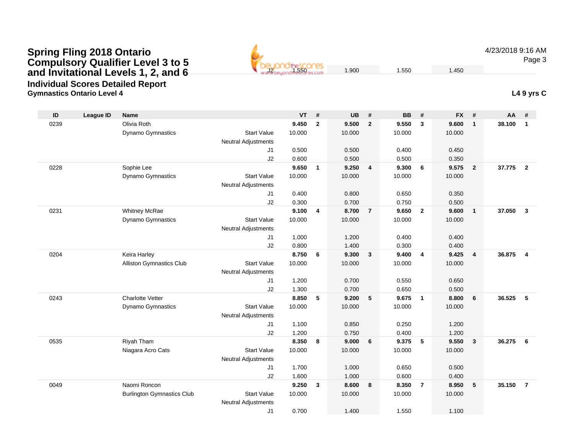**Gymnastics Ontario Level 4 L4 9 yrs CIndividual Scores Detailed Report**

| $\mathsf{ID}$ | <b>League ID</b> | Name                              |                            | <b>VT</b> | #              | <b>UB</b> | #              | <b>BB</b> | #              | <b>FX</b> | #              | <b>AA</b> | #                       |
|---------------|------------------|-----------------------------------|----------------------------|-----------|----------------|-----------|----------------|-----------|----------------|-----------|----------------|-----------|-------------------------|
| 0239          |                  | Olivia Roth                       |                            | 9.450     | $\overline{2}$ | 9.500     | $\overline{2}$ | 9.550     | 3              | 9.600     | $\mathbf{1}$   | 38.100    | $\overline{1}$          |
|               |                  | Dynamo Gymnastics                 | <b>Start Value</b>         | 10.000    |                | 10.000    |                | 10.000    |                | 10.000    |                |           |                         |
|               |                  |                                   | <b>Neutral Adjustments</b> |           |                |           |                |           |                |           |                |           |                         |
|               |                  |                                   | J <sub>1</sub>             | 0.500     |                | 0.500     |                | 0.400     |                | 0.450     |                |           |                         |
|               |                  |                                   | J2                         | 0.600     |                | 0.500     |                | 0.500     |                | 0.350     |                |           |                         |
| 0228          |                  | Sophie Lee                        |                            | 9.650     | $\mathbf{1}$   | 9.250     | $\overline{4}$ | 9.300     | 6              | 9.575     | $\overline{2}$ | 37.775    | $\overline{\mathbf{2}}$ |
|               |                  | Dynamo Gymnastics                 | <b>Start Value</b>         | 10.000    |                | 10.000    |                | 10.000    |                | 10.000    |                |           |                         |
|               |                  |                                   | <b>Neutral Adjustments</b> |           |                |           |                |           |                |           |                |           |                         |
|               |                  |                                   | J1                         | 0.400     |                | 0.800     |                | 0.650     |                | 0.350     |                |           |                         |
|               |                  |                                   | J2                         | 0.300     |                | 0.700     |                | 0.750     |                | 0.500     |                |           |                         |
| 0231          |                  | <b>Whitney McRae</b>              |                            | 9.100     | 4              | 8.700     | $\overline{7}$ | 9.650     | $\overline{2}$ | 9.600     | $\mathbf{1}$   | 37.050    | $\mathbf{3}$            |
|               |                  | Dynamo Gymnastics                 | <b>Start Value</b>         | 10.000    |                | 10.000    |                | 10.000    |                | 10.000    |                |           |                         |
|               |                  |                                   | <b>Neutral Adjustments</b> |           |                |           |                |           |                |           |                |           |                         |
|               |                  |                                   | J1                         | 1.000     |                | 1.200     |                | 0.400     |                | 0.400     |                |           |                         |
|               |                  |                                   | J2                         | 0.800     |                | 1.400     |                | 0.300     |                | 0.400     |                |           |                         |
| 0204          |                  | Keira Harley                      |                            | 8.750     | 6              | 9.300     | $\overline{3}$ | 9.400     | $\overline{4}$ | 9.425     | $\overline{4}$ | 36.875    | $\overline{4}$          |
|               |                  | Alliston Gymnastics Club          | <b>Start Value</b>         | 10.000    |                | 10.000    |                | 10.000    |                | 10.000    |                |           |                         |
|               |                  |                                   | <b>Neutral Adjustments</b> |           |                |           |                |           |                |           |                |           |                         |
|               |                  |                                   | J <sub>1</sub>             | 1.200     |                | 0.700     |                | 0.550     |                | 0.650     |                |           |                         |
|               |                  |                                   | J2                         | 1.300     |                | 0.700     |                | 0.650     |                | 0.500     |                |           |                         |
| 0243          |                  | <b>Charlotte Vetter</b>           |                            | 8.850     | 5              | 9.200     | 5              | 9.675     | $\overline{1}$ | 8.800     | 6              | 36.525    | 5                       |
|               |                  | Dynamo Gymnastics                 | <b>Start Value</b>         | 10.000    |                | 10.000    |                | 10.000    |                | 10.000    |                |           |                         |
|               |                  |                                   | <b>Neutral Adjustments</b> |           |                |           |                |           |                |           |                |           |                         |
|               |                  |                                   | J <sub>1</sub>             | 1.100     |                | 0.850     |                | 0.250     |                | 1.200     |                |           |                         |
|               |                  |                                   | J2                         | 1.200     |                | 0.750     |                | 0.400     |                | 1.200     |                |           |                         |
| 0535          |                  | Riyah Tham                        |                            | 8.350     | 8              | 9.000     | 6              | 9.375     | 5              | 9.550     | $\mathbf{3}$   | 36.275    | 6                       |
|               |                  | Niagara Acro Cats                 | <b>Start Value</b>         | 10.000    |                | 10.000    |                | 10.000    |                | 10.000    |                |           |                         |
|               |                  |                                   | <b>Neutral Adjustments</b> |           |                |           |                |           |                |           |                |           |                         |
|               |                  |                                   | J1                         | 1.700     |                | 1.000     |                | 0.650     |                | 0.500     |                |           |                         |
|               |                  |                                   | J2                         | 1.600     |                | 1.000     |                | 0.600     |                | 0.400     |                |           |                         |
| 0049          |                  | Naomi Roncon                      |                            | 9.250     | 3              | 8.600     | 8              | 8.350     | $\overline{7}$ | 8.950     | 5              | 35.150    | $\overline{7}$          |
|               |                  | <b>Burlington Gymnastics Club</b> | <b>Start Value</b>         | 10.000    |                | 10.000    |                | 10.000    |                | 10.000    |                |           |                         |
|               |                  |                                   | <b>Neutral Adjustments</b> |           |                |           |                |           |                |           |                |           |                         |
|               |                  |                                   | J <sub>1</sub>             | 0.700     |                | 1.400     |                | 1.550     |                | 1.100     |                |           |                         |

J2 $\frac{2}{1.550}$  1.450 1.450 4/23/2018 9:16 AM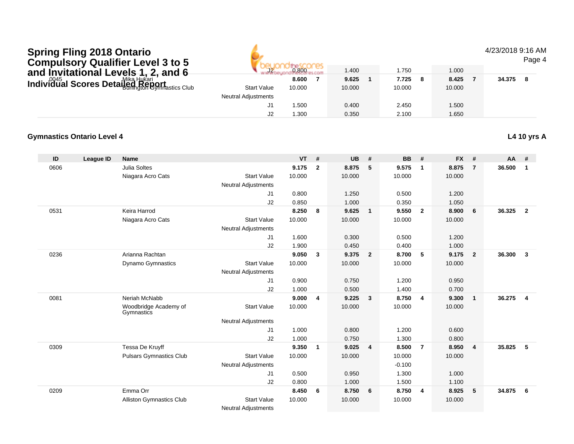4/23/2018 9:16 AM

| <b>Compulsory Qualifier Level 3 to 5</b>                               |                            |        |        |        |        |        | Page 4 |
|------------------------------------------------------------------------|----------------------------|--------|--------|--------|--------|--------|--------|
| and Invitational Levels 1, 2, and 6                                    | J2                         | 0.800  | 1.400  | .750   | 1.000  |        |        |
| individual Scores Detailed Hukari<br>Individual Scores Detailed Report |                            | 8.600  | 9.625  | 7.725  | 8.425  | 34.375 |        |
|                                                                        | <b>Start Value</b>         | 10.000 | 10.000 | 10.000 | 10.000 |        |        |
|                                                                        | <b>Neutral Adjustments</b> |        |        |        |        |        |        |
|                                                                        | . J1                       | 500. ا | 0.400  | 2.450  | 1.500  |        |        |
|                                                                        |                            | 1.300  | 0.350  | 2.100  | 1.650  |        |        |

4.

#### **Gymnastics Ontario Level 4L4 10 yrs A**

| ID   | League ID | Name                                |                            | <b>VT</b> | #            | <b>UB</b> | #                       | <b>BB</b> | #                       | <b>FX</b> | #              | AA     | #                       |
|------|-----------|-------------------------------------|----------------------------|-----------|--------------|-----------|-------------------------|-----------|-------------------------|-----------|----------------|--------|-------------------------|
| 0606 |           | <b>Julia Soltes</b>                 |                            | 9.175     | $\mathbf{2}$ | 8.875     | 5                       | 9.575     | $\mathbf{1}$            | 8.875     | $\overline{7}$ | 36.500 | 1                       |
|      |           | Niagara Acro Cats                   | <b>Start Value</b>         | 10.000    |              | 10.000    |                         | 10.000    |                         | 10.000    |                |        |                         |
|      |           |                                     | <b>Neutral Adjustments</b> |           |              |           |                         |           |                         |           |                |        |                         |
|      |           |                                     | J <sub>1</sub>             | 0.800     |              | 1.250     |                         | 0.500     |                         | 1.200     |                |        |                         |
|      |           |                                     | J <sub>2</sub>             | 0.850     |              | 1.000     |                         | 0.350     |                         | 1.050     |                |        |                         |
| 0531 |           | Keira Harrod                        |                            | 8.250     | 8            | 9.625     | $\overline{1}$          | 9.550     | $\overline{\mathbf{2}}$ | 8.900     | 6              | 36.325 | $\overline{\mathbf{2}}$ |
|      |           | Niagara Acro Cats                   | <b>Start Value</b>         | 10.000    |              | 10.000    |                         | 10.000    |                         | 10.000    |                |        |                         |
|      |           |                                     | <b>Neutral Adjustments</b> |           |              |           |                         |           |                         |           |                |        |                         |
|      |           |                                     | J1                         | 1.600     |              | 0.300     |                         | 0.500     |                         | 1.200     |                |        |                         |
|      |           |                                     | J2                         | 1.900     |              | 0.450     |                         | 0.400     |                         | 1.000     |                |        |                         |
| 0236 |           | Arianna Rachtan                     |                            | 9.050     | $\mathbf{3}$ | 9.375     | $\overline{\mathbf{2}}$ | 8.700     | - 5                     | 9.175     | $\overline{2}$ | 36.300 | $\mathbf{3}$            |
|      |           | <b>Dynamo Gymnastics</b>            | <b>Start Value</b>         | 10.000    |              | 10.000    |                         | 10.000    |                         | 10.000    |                |        |                         |
|      |           |                                     | <b>Neutral Adjustments</b> |           |              |           |                         |           |                         |           |                |        |                         |
|      |           |                                     | J1                         | 0.900     |              | 0.750     |                         | 1.200     |                         | 0.950     |                |        |                         |
|      |           |                                     | J2                         | 1.000     |              | 0.500     |                         | 1.400     |                         | 0.700     |                |        |                         |
| 0081 |           | Neriah McNabb                       |                            | 9.000     | 4            | 9.225     | $\mathbf{3}$            | 8.750     | $\overline{4}$          | 9.300     | $\mathbf{1}$   | 36.275 | $\overline{4}$          |
|      |           | Woodbridge Academy of<br>Gymnastics | <b>Start Value</b>         | 10.000    |              | 10.000    |                         | 10.000    |                         | 10.000    |                |        |                         |
|      |           |                                     | <b>Neutral Adjustments</b> |           |              |           |                         |           |                         |           |                |        |                         |
|      |           |                                     | J <sub>1</sub>             | 1.000     |              | 0.800     |                         | 1.200     |                         | 0.600     |                |        |                         |
|      |           |                                     | J <sub>2</sub>             | 1.000     |              | 0.750     |                         | 1.300     |                         | 0.800     |                |        |                         |
| 0309 |           | Tessa De Kruyff                     |                            | 9.350     | $\mathbf{1}$ | 9.025     | $\overline{4}$          | 8.500     | $\overline{7}$          | 8.950     | $\overline{4}$ | 35.825 | 5                       |
|      |           | <b>Pulsars Gymnastics Club</b>      | <b>Start Value</b>         | 10.000    |              | 10.000    |                         | 10.000    |                         | 10.000    |                |        |                         |
|      |           |                                     | <b>Neutral Adjustments</b> |           |              |           |                         | $-0.100$  |                         |           |                |        |                         |
|      |           |                                     | J <sub>1</sub>             | 0.500     |              | 0.950     |                         | 1.300     |                         | 1.000     |                |        |                         |
|      |           |                                     | J <sub>2</sub>             | 0.800     |              | 1.000     |                         | 1.500     |                         | 1.100     |                |        |                         |
| 0209 |           | Emma Orr                            |                            | 8.450     | 6            | 8.750     | 6                       | 8.750     | 4                       | 8.925     | 5              | 34.875 | - 6                     |
|      |           | Alliston Gymnastics Club            | <b>Start Value</b>         | 10.000    |              | 10.000    |                         | 10.000    |                         | 10.000    |                |        |                         |
|      |           |                                     | Noutral Adjustments        |           |              |           |                         |           |                         |           |                |        |                         |

Neutral Adjustments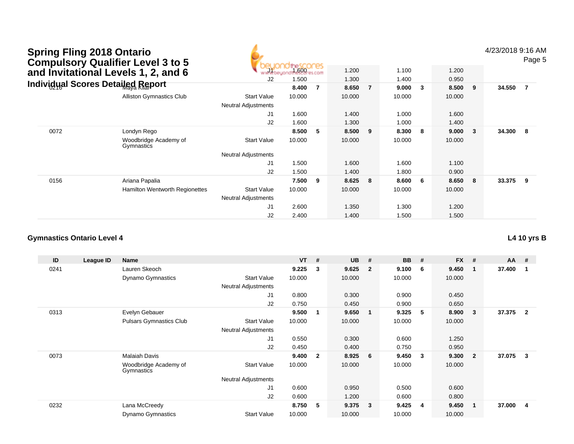|      | <b>Spring Fling 2018 Ontario</b><br><b>Compulsory Qualifier Level 3 to 5</b><br>and Invitational Levels 1, 2, and 6 |                            | 1.600  |     | 1.200  |                | 1.100  |     | 1.200  |              | 4/23/2018 9:16 AM | Page 5         |  |
|------|---------------------------------------------------------------------------------------------------------------------|----------------------------|--------|-----|--------|----------------|--------|-----|--------|--------------|-------------------|----------------|--|
|      |                                                                                                                     | J2                         | 1.500  |     | 1.300  |                | 1.400  |     | 0.950  |              |                   |                |  |
|      | Individual Scores Detailed Report                                                                                   |                            | 8.400  | -7  | 8.650  | $\overline{7}$ | 9.000  | 3   | 8.500  | 9            | 34.550            | $\overline{7}$ |  |
|      | <b>Alliston Gymnastics Club</b>                                                                                     | <b>Start Value</b>         | 10.000 |     | 10.000 |                | 10.000 |     | 10.000 |              |                   |                |  |
|      |                                                                                                                     | <b>Neutral Adjustments</b> |        |     |        |                |        |     |        |              |                   |                |  |
|      |                                                                                                                     | J1                         | 1.600  |     | 1.400  |                | 1.000  |     | 1.600  |              |                   |                |  |
|      |                                                                                                                     | J2                         | 1.600  |     | 1.300  |                | 1.000  |     | 1.400  |              |                   |                |  |
| 0072 | Londyn Rego                                                                                                         |                            | 8.500  | - 5 | 8.500  | 9              | 8.300  | - 8 | 9.000  | $\mathbf{3}$ | 34.300            | 8              |  |
|      | Woodbridge Academy of<br>Gymnastics                                                                                 | <b>Start Value</b>         | 10.000 |     | 10.000 |                | 10.000 |     | 10.000 |              |                   |                |  |
|      |                                                                                                                     | <b>Neutral Adjustments</b> |        |     |        |                |        |     |        |              |                   |                |  |
|      |                                                                                                                     | J1                         | 1.500  |     | 1.600  |                | 1.600  |     | 1.100  |              |                   |                |  |
|      |                                                                                                                     | J2                         | 1.500  |     | 1.400  |                | 1.800  |     | 0.900  |              |                   |                |  |
| 0156 | Ariana Papalia                                                                                                      |                            | 7.500  | -9  | 8.625  | 8              | 8.600  | -6  | 8.650  | 8            | 33.375            | - 9            |  |
|      | <b>Hamilton Wentworth Regionettes</b>                                                                               | <b>Start Value</b>         | 10.000 |     | 10.000 |                | 10.000 |     | 10.000 |              |                   |                |  |
|      |                                                                                                                     | <b>Neutral Adjustments</b> |        |     |        |                |        |     |        |              |                   |                |  |
|      |                                                                                                                     | J1                         | 2.600  |     | 1.350  |                | 1.300  |     | 1.200  |              |                   |                |  |
|      |                                                                                                                     | J2                         | 2.400  |     | 1.400  |                | 1.500  |     | 1.500  |              |                   |                |  |

| ID   | League ID | <b>Name</b>                         |                            | <b>VT</b> | #            | <b>UB</b> | #              | <b>BB</b> | #            | <b>FX</b> | #              | <b>AA</b> | #                       |
|------|-----------|-------------------------------------|----------------------------|-----------|--------------|-----------|----------------|-----------|--------------|-----------|----------------|-----------|-------------------------|
| 0241 |           | Lauren Skeoch                       |                            | 9.225     | 3            | 9.625     | $\mathbf{2}$   | 9.100     | - 6          | 9.450     | $\mathbf 1$    | 37.400    |                         |
|      |           | <b>Dynamo Gymnastics</b>            | <b>Start Value</b>         | 10.000    |              | 10.000    |                | 10.000    |              | 10.000    |                |           |                         |
|      |           |                                     | <b>Neutral Adjustments</b> |           |              |           |                |           |              |           |                |           |                         |
|      |           |                                     | J1                         | 0.800     |              | 0.300     |                | 0.900     |              | 0.450     |                |           |                         |
|      |           |                                     | J2                         | 0.750     |              | 0.450     |                | 0.900     |              | 0.650     |                |           |                         |
| 0313 |           | Evelyn Gebauer                      |                            | 9.500     |              | 9.650     | $\overline{1}$ | 9.325     | -5           | 8.900     | 3              | 37.375    | $\mathbf{2}$            |
|      |           | <b>Pulsars Gymnastics Club</b>      | <b>Start Value</b>         | 10.000    |              | 10.000    |                | 10.000    |              | 10.000    |                |           |                         |
|      |           |                                     | <b>Neutral Adjustments</b> |           |              |           |                |           |              |           |                |           |                         |
|      |           |                                     | J <sub>1</sub>             | 0.550     |              | 0.300     |                | 0.600     |              | 1.250     |                |           |                         |
|      |           |                                     | J <sub>2</sub>             | 0.450     |              | 0.400     |                | 0.750     |              | 0.950     |                |           |                         |
| 0073 |           | <b>Malaiah Davis</b>                |                            | 9.400     | $\mathbf{2}$ | 8.925     | 6              | 9.450     | $\mathbf{3}$ | 9.300     | $\overline{2}$ | 37.075    | 3                       |
|      |           | Woodbridge Academy of<br>Gymnastics | <b>Start Value</b>         | 10.000    |              | 10.000    |                | 10.000    |              | 10.000    |                |           |                         |
|      |           |                                     | <b>Neutral Adjustments</b> |           |              |           |                |           |              |           |                |           |                         |
|      |           |                                     | J <sub>1</sub>             | 0.600     |              | 0.950     |                | 0.500     |              | 0.600     |                |           |                         |
|      |           |                                     | J2                         | 0.600     |              | 1.200     |                | 0.600     |              | 0.800     |                |           |                         |
| 0232 |           | Lana McCreedy                       |                            | 8.750     | 5            | 9.375     | $\mathbf{3}$   | 9.425     | 4            | 9.450     | $\mathbf 1$    | 37.000    | $\overline{\mathbf{4}}$ |
|      |           | <b>Dynamo Gymnastics</b>            | <b>Start Value</b>         | 10.000    |              | 10.000    |                | 10.000    |              | 10.000    |                |           |                         |

2.400 1.400 1.500 1.500

**L4 10 yrs B**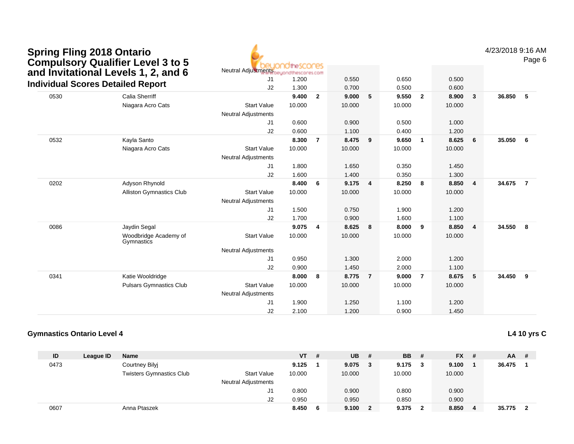| <b>Spring Fling 2018 Ontario</b>         |
|------------------------------------------|
| <b>Compulsory Qualifier Level 3 to 5</b> |
| and Invitational Levels 1, 2, and 6      |
| Individual Scores Detailed Report        |

Neutral Adjustment<mark>s</mark>

4/23/2018 9:16 AM

Page 6

| <b>Individual Scores Detailed Report</b> | ana mwanzi ai Evrolo II ei ana c    | J1<br>J2                   | 1.200<br>1.300 |                | 0.550<br>0.700 |                | 0.650<br>0.500 |                | 0.500<br>0.600 |                         |        |                |
|------------------------------------------|-------------------------------------|----------------------------|----------------|----------------|----------------|----------------|----------------|----------------|----------------|-------------------------|--------|----------------|
| 0530                                     | Calia Sherriff                      |                            | 9.400          | $\overline{2}$ | 9.000          | 5              | 9.550          | $\overline{2}$ | 8.900          | $\mathbf{3}$            | 36.850 | 5              |
|                                          | Niagara Acro Cats                   | <b>Start Value</b>         | 10.000         |                | 10.000         |                | 10.000         |                | 10.000         |                         |        |                |
|                                          |                                     | Neutral Adjustments        |                |                |                |                |                |                |                |                         |        |                |
|                                          |                                     | J <sub>1</sub>             | 0.600          |                | 0.900          |                | 0.500          |                | 1.000          |                         |        |                |
|                                          |                                     | J <sub>2</sub>             | 0.600          |                | 1.100          |                | 0.400          |                | 1.200          |                         |        |                |
| 0532                                     | Kayla Santo                         |                            | 8.300          | $\overline{7}$ | 8.475          | 9              | 9.650          | $\mathbf{1}$   | 8.625          | 6                       | 35.050 | 6              |
|                                          | Niagara Acro Cats                   | <b>Start Value</b>         | 10.000         |                | 10.000         |                | 10.000         |                | 10.000         |                         |        |                |
|                                          |                                     | <b>Neutral Adjustments</b> |                |                |                |                |                |                |                |                         |        |                |
|                                          |                                     | J <sub>1</sub>             | 1.800          |                | 1.650          |                | 0.350          |                | 1.450          |                         |        |                |
|                                          |                                     | J2                         | 1.600          |                | 1.400          |                | 0.350          |                | 1.300          |                         |        |                |
| 0202                                     | Adyson Rhynold                      |                            | 8.400          | 6              | 9.175          | $\overline{4}$ | 8.250          | 8              | 8.850          | $\overline{\mathbf{4}}$ | 34.675 | $\overline{7}$ |
|                                          | Alliston Gymnastics Club            | <b>Start Value</b>         | 10.000         |                | 10.000         |                | 10.000         |                | 10.000         |                         |        |                |
|                                          |                                     | <b>Neutral Adjustments</b> |                |                |                |                |                |                |                |                         |        |                |
|                                          |                                     | J <sub>1</sub>             | 1.500          |                | 0.750          |                | 1.900          |                | 1.200          |                         |        |                |
|                                          |                                     | J <sub>2</sub>             | 1.700          |                | 0.900          |                | 1.600          |                | 1.100          |                         |        |                |
| 0086                                     | Jaydin Segal                        |                            | 9.075          | $\overline{4}$ | 8.625          | 8              | 8.000          | 9              | 8.850          | - 4                     | 34.550 | 8              |
|                                          | Woodbridge Academy of<br>Gymnastics | <b>Start Value</b>         | 10.000         |                | 10.000         |                | 10.000         |                | 10.000         |                         |        |                |
|                                          |                                     | <b>Neutral Adjustments</b> |                |                |                |                |                |                |                |                         |        |                |
|                                          |                                     | J <sub>1</sub>             | 0.950          |                | 1.300          |                | 2.000          |                | 1.200          |                         |        |                |
|                                          |                                     | J <sub>2</sub>             | 0.900          |                | 1.450          |                | 2.000          |                | 1.100          |                         |        |                |
| 0341                                     | Katie Wooldridge                    |                            | 8.000          | 8              | 8.775          | $\overline{7}$ | 9.000          | $\overline{7}$ | 8.675          | 5                       | 34.450 | 9              |
|                                          | <b>Pulsars Gymnastics Club</b>      | <b>Start Value</b>         | 10.000         |                | 10.000         |                | 10.000         |                | 10.000         |                         |        |                |
|                                          |                                     | <b>Neutral Adjustments</b> |                |                |                |                |                |                |                |                         |        |                |
|                                          |                                     | J <sub>1</sub>             | 1.900          |                | 1.250          |                | 1.100          |                | 1.200          |                         |        |                |
|                                          |                                     | J <sub>2</sub>             | 2.100          |                | 1.200          |                | 0.900          |                | 1.450          |                         |        |                |

#### **Gymnastics Ontario Level 4**

**L4 10 yrs C**

| ID   | League ID | <b>Name</b>                     |                            | <b>VT</b> | # | UB.    | # | <b>BB</b> | - # | $FX$ # |     | AA     | # |
|------|-----------|---------------------------------|----------------------------|-----------|---|--------|---|-----------|-----|--------|-----|--------|---|
| 0473 |           | Courtney Bilyj                  |                            | 9.125     |   | 9.075  | 3 | 9.175     | - 3 | 9.100  |     | 36.475 |   |
|      |           | <b>Twisters Gymnastics Club</b> | <b>Start Value</b>         | 10.000    |   | 10.000 |   | 10.000    |     | 10.000 |     |        |   |
|      |           |                                 | <b>Neutral Adjustments</b> |           |   |        |   |           |     |        |     |        |   |
|      |           |                                 | J1                         | 0.800     |   | 0.900  |   | 0.800     |     | 0.900  |     |        |   |
|      |           |                                 | J2                         | 0.950     |   | 0.950  |   | 0.850     |     | 0.900  |     |        |   |
| 0607 |           | Anna Ptaszek                    |                            | 8.450     | 6 | 9.100  |   | 9.375     | 2   | 8.850  | - 4 | 35.775 |   |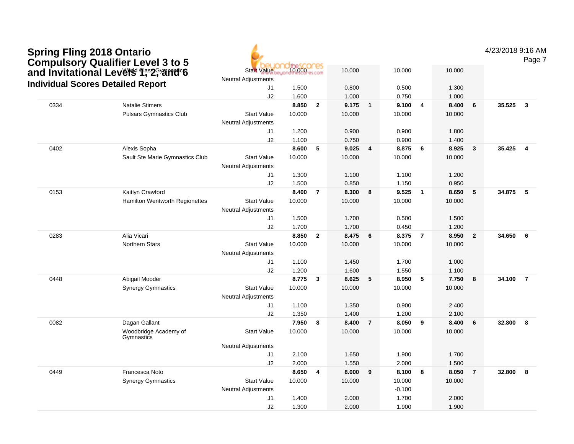|      | <b>Spring Fling 2018 Ontario</b><br><b>Compulsory Qualifier Level 3 to 5</b> |                                                  |        |                         |        |                |          |                         |        |                | 4/23/2018 9:16 AM<br>Page 7       |
|------|------------------------------------------------------------------------------|--------------------------------------------------|--------|-------------------------|--------|----------------|----------|-------------------------|--------|----------------|-----------------------------------|
|      | and Invitational Levers 9, 2, and 1                                          | <b>Start Value</b><br><b>Neutral Adjustments</b> | 10.000 |                         | 10.000 |                | 10.000   |                         | 10.000 |                |                                   |
|      | <b>Individual Scores Detailed Report</b>                                     | J1                                               | 1.500  |                         | 0.800  |                | 0.500    |                         | 1.300  |                |                                   |
|      |                                                                              | J2                                               | 1.600  |                         | 1.000  |                | 0.750    |                         | 1.000  |                |                                   |
| 0334 | <b>Natalie Stimers</b>                                                       |                                                  | 8.850  | $\overline{2}$          | 9.175  | $\mathbf{1}$   | 9.100    | $\overline{\mathbf{4}}$ | 8.400  | 6              | 35.525<br>$\overline{\mathbf{3}}$ |
|      | <b>Pulsars Gymnastics Club</b>                                               | <b>Start Value</b>                               | 10.000 |                         | 10.000 |                | 10.000   |                         | 10.000 |                |                                   |
|      |                                                                              | <b>Neutral Adjustments</b>                       |        |                         |        |                |          |                         |        |                |                                   |
|      |                                                                              | J1                                               | 1.200  |                         | 0.900  |                | 0.900    |                         | 1.800  |                |                                   |
|      |                                                                              | J2                                               | 1.100  |                         | 0.750  |                | 0.900    |                         | 1.400  |                |                                   |
| 0402 | Alexis Sopha                                                                 |                                                  | 8.600  | 5                       | 9.025  | $\overline{4}$ | 8.875    | 6                       | 8.925  | $\mathbf{3}$   | 35.425<br>$\overline{4}$          |
|      | Sault Ste Marie Gymnastics Club                                              | <b>Start Value</b><br>Neutral Adjustments        | 10.000 |                         | 10.000 |                | 10.000   |                         | 10.000 |                |                                   |
|      |                                                                              | J <sub>1</sub>                                   | 1.300  |                         | 1.100  |                | 1.100    |                         | 1.200  |                |                                   |
|      |                                                                              | J2                                               | 1.500  |                         | 0.850  |                | 1.150    |                         | 0.950  |                |                                   |
| 0153 | Kaitlyn Crawford                                                             |                                                  | 8.400  | $\overline{7}$          | 8.300  | 8              | 9.525    | $\overline{\mathbf{1}}$ | 8.650  | 5              | 34.875<br>$-5$                    |
|      | Hamilton Wentworth Regionettes                                               | <b>Start Value</b><br>Neutral Adjustments        | 10.000 |                         | 10.000 |                | 10.000   |                         | 10.000 |                |                                   |
|      |                                                                              | J1                                               | 1.500  |                         | 1.700  |                | 0.500    |                         | 1.500  |                |                                   |
|      |                                                                              | J2                                               | 1.700  |                         | 1.700  |                | 0.450    |                         | 1.200  |                |                                   |
| 0283 | Alia Vicari                                                                  |                                                  | 8.850  | $\overline{2}$          | 8.475  | 6              | 8.375    | $\overline{7}$          | 8.950  | $\overline{2}$ | 34.650<br>6                       |
|      | Northern Stars                                                               | <b>Start Value</b>                               | 10.000 |                         | 10.000 |                | 10.000   |                         | 10.000 |                |                                   |
|      |                                                                              | <b>Neutral Adjustments</b>                       |        |                         |        |                |          |                         |        |                |                                   |
|      |                                                                              | J1                                               | 1.100  |                         | 1.450  |                | 1.700    |                         | 1.000  |                |                                   |
|      |                                                                              | J2                                               | 1.200  |                         | 1.600  |                | 1.550    |                         | 1.100  |                |                                   |
| 0448 | Abigail Mooder                                                               |                                                  | 8.775  | $\overline{\mathbf{3}}$ | 8.625  | 5              | 8.950    | 5                       | 7.750  | 8              | 34.100<br>$\overline{7}$          |
|      | <b>Synergy Gymnastics</b>                                                    | <b>Start Value</b>                               | 10.000 |                         | 10.000 |                | 10.000   |                         | 10.000 |                |                                   |
|      |                                                                              | <b>Neutral Adjustments</b>                       |        |                         |        |                |          |                         |        |                |                                   |
|      |                                                                              | J1                                               | 1.100  |                         | 1.350  |                | 0.900    |                         | 2.400  |                |                                   |
|      |                                                                              | J2                                               | 1.350  |                         | 1.400  |                | 1.200    |                         | 2.100  |                |                                   |
| 0082 | Dagan Gallant                                                                |                                                  | 7.950  | 8                       | 8.400  | $\overline{7}$ | 8.050    | 9                       | 8.400  | 6              | 8<br>32.800                       |
|      | Woodbridge Academy of<br>Gymnastics                                          | <b>Start Value</b>                               | 10.000 |                         | 10.000 |                | 10.000   |                         | 10.000 |                |                                   |
|      |                                                                              | Neutral Adjustments                              |        |                         |        |                |          |                         |        |                |                                   |
|      |                                                                              | J1                                               | 2.100  |                         | 1.650  |                | 1.900    |                         | 1.700  |                |                                   |
|      |                                                                              | J2                                               | 2.000  |                         | 1.550  |                | 2.000    |                         | 1.500  |                |                                   |
| 0449 | Francesca Noto                                                               |                                                  | 8.650  | 4                       | 8.000  | 9              | 8.100    | 8                       | 8.050  | $\overline{7}$ | 32.800<br>8                       |
|      | <b>Synergy Gymnastics</b>                                                    | <b>Start Value</b>                               | 10.000 |                         | 10.000 |                | 10.000   |                         | 10.000 |                |                                   |
|      |                                                                              | <b>Neutral Adjustments</b>                       |        |                         |        |                | $-0.100$ |                         |        |                |                                   |
|      |                                                                              | J1                                               | 1.400  |                         | 2.000  |                | 1.700    |                         | 2.000  |                |                                   |
|      |                                                                              | J2                                               | 1.300  |                         | 2.000  |                | 1.900    |                         | 1.900  |                |                                   |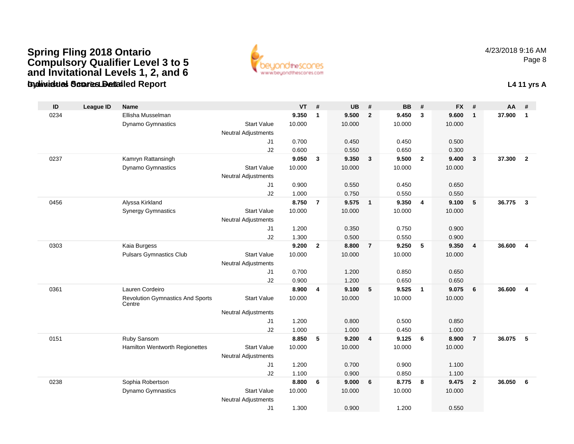#### **Gymnastics Ontario Level 4Individual Scores Detailed Report L4 11 yrs ASpring Fling 2018 Ontario Compulsory Qualifier Level 3 to 5 and Invitational Levels 1, 2, and 6**



| ID   | <b>League ID</b> | <b>Name</b>                                       |                            | <b>VT</b> | #              | <b>UB</b> | #                       | <b>BB</b> | #              | <b>FX</b> | #              | AA     | #                       |
|------|------------------|---------------------------------------------------|----------------------------|-----------|----------------|-----------|-------------------------|-----------|----------------|-----------|----------------|--------|-------------------------|
| 0234 |                  | Ellisha Musselman                                 |                            | 9.350     | $\mathbf{1}$   | 9.500     | $\overline{2}$          | 9.450     | $\mathbf{3}$   | 9.600     | $\mathbf{1}$   | 37.900 | $\mathbf{1}$            |
|      |                  | <b>Dynamo Gymnastics</b>                          | <b>Start Value</b>         | 10.000    |                | 10.000    |                         | 10.000    |                | 10.000    |                |        |                         |
|      |                  |                                                   | <b>Neutral Adjustments</b> |           |                |           |                         |           |                |           |                |        |                         |
|      |                  |                                                   | J <sub>1</sub>             | 0.700     |                | 0.450     |                         | 0.450     |                | 0.500     |                |        |                         |
|      |                  |                                                   | J2                         | 0.600     |                | 0.550     |                         | 0.650     |                | 0.300     |                |        |                         |
| 0237 |                  | Kamryn Rattansingh                                |                            | 9.050     | 3              | 9.350     | 3                       | 9.500     | $\overline{2}$ | 9.400     | $\mathbf{3}$   | 37.300 | $\overline{2}$          |
|      |                  | <b>Dynamo Gymnastics</b>                          | <b>Start Value</b>         | 10.000    |                | 10.000    |                         | 10.000    |                | 10.000    |                |        |                         |
|      |                  |                                                   | <b>Neutral Adjustments</b> |           |                |           |                         |           |                |           |                |        |                         |
|      |                  |                                                   | J1                         | 0.900     |                | 0.550     |                         | 0.450     |                | 0.650     |                |        |                         |
|      |                  |                                                   | J2                         | 1.000     |                | 0.750     |                         | 0.550     |                | 0.550     |                |        |                         |
| 0456 |                  | Alyssa Kirkland                                   |                            | 8.750     | $\overline{7}$ | 9.575     | $\mathbf{1}$            | 9.350     | 4              | 9.100     | 5              | 36.775 | $\overline{\mathbf{3}}$ |
|      |                  | <b>Synergy Gymnastics</b>                         | <b>Start Value</b>         | 10.000    |                | 10.000    |                         | 10.000    |                | 10.000    |                |        |                         |
|      |                  |                                                   | <b>Neutral Adjustments</b> |           |                |           |                         |           |                |           |                |        |                         |
|      |                  |                                                   | J <sub>1</sub>             | 1.200     |                | 0.350     |                         | 0.750     |                | 0.900     |                |        |                         |
|      |                  |                                                   | J2                         | 1.300     |                | 0.500     |                         | 0.550     |                | 0.900     |                |        |                         |
| 0303 |                  | Kaia Burgess                                      |                            | 9.200     | $\mathbf{2}$   | 8.800     | $\overline{7}$          | 9.250     | 5              | 9.350     | $\overline{4}$ | 36.600 | $\overline{4}$          |
|      |                  | <b>Pulsars Gymnastics Club</b>                    | <b>Start Value</b>         | 10.000    |                | 10.000    |                         | 10.000    |                | 10.000    |                |        |                         |
|      |                  |                                                   | <b>Neutral Adjustments</b> |           |                |           |                         |           |                |           |                |        |                         |
|      |                  |                                                   | J1                         | 0.700     |                | 1.200     |                         | 0.850     |                | 0.650     |                |        |                         |
|      |                  |                                                   | J2                         | 0.900     |                | 1.200     |                         | 0.650     |                | 0.650     |                |        |                         |
| 0361 |                  | Lauren Cordeiro                                   |                            | 8.900     | 4              | 9.100     | 5                       | 9.525     | $\overline{1}$ | 9.075     | 6              | 36.600 | $\overline{4}$          |
|      |                  | <b>Revolution Gymnastics And Sports</b><br>Centre | <b>Start Value</b>         | 10.000    |                | 10.000    |                         | 10.000    |                | 10.000    |                |        |                         |
|      |                  |                                                   | <b>Neutral Adjustments</b> |           |                |           |                         |           |                |           |                |        |                         |
|      |                  |                                                   | J1                         | 1.200     |                | 0.800     |                         | 0.500     |                | 0.850     |                |        |                         |
|      |                  |                                                   | J2                         | 1.000     |                | 1.000     |                         | 0.450     |                | 1.000     |                |        |                         |
| 0151 |                  | Ruby Sansom                                       |                            | 8.850     | 5              | 9.200     | $\overline{\mathbf{4}}$ | 9.125     | 6              | 8.900     | $\overline{7}$ | 36.075 | -5                      |
|      |                  | Hamilton Wentworth Regionettes                    | <b>Start Value</b>         | 10.000    |                | 10.000    |                         | 10.000    |                | 10.000    |                |        |                         |
|      |                  |                                                   | <b>Neutral Adjustments</b> |           |                |           |                         |           |                |           |                |        |                         |
|      |                  |                                                   | J1                         | 1.200     |                | 0.700     |                         | 0.900     |                | 1.100     |                |        |                         |
|      |                  |                                                   | J2                         | 1.100     |                | 0.900     |                         | 0.850     |                | 1.100     |                |        |                         |
| 0238 |                  | Sophia Robertson                                  |                            | 8.800     | 6              | 9.000     | 6                       | 8.775     | 8              | 9.475     | $\overline{2}$ | 36.050 | 6                       |
|      |                  | Dynamo Gymnastics                                 | <b>Start Value</b>         | 10.000    |                | 10.000    |                         | 10.000    |                | 10.000    |                |        |                         |
|      |                  |                                                   | <b>Neutral Adjustments</b> |           |                |           |                         |           |                |           |                |        |                         |
|      |                  |                                                   | J1                         | 1.300     |                | 0.900     |                         | 1.200     |                | 0.550     |                |        |                         |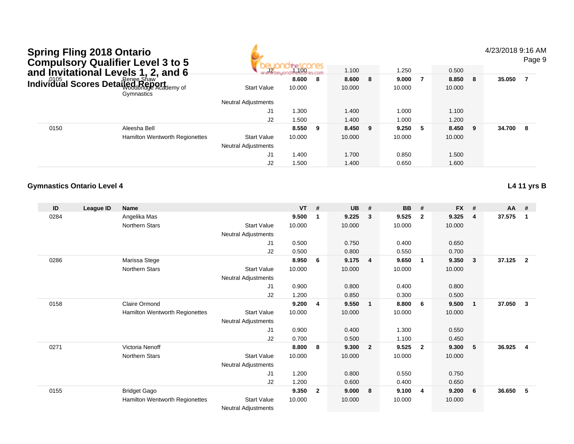| <b>Spring Fling 2018 Ontario</b> | <b>Compulsory Qualifier Level 3 to 5</b>        |                            |            |     |        |   |        |     |        |     | 4/23/2018 9:16 AM | Page 9 |
|----------------------------------|-------------------------------------------------|----------------------------|------------|-----|--------|---|--------|-----|--------|-----|-------------------|--------|
|                                  | and Invitational Levels 1, 2, and 6             | 72 <sub>1</sub>            | dinescones |     | 1.100  |   | 1.250  |     | 0.500  |     |                   |        |
|                                  |                                                 |                            | 8.600      | - 8 | 8.600  | 8 | 9.000  | - 7 | 8.850  | 8   | 35.050            |        |
|                                  | Individual Scores Detailed Report<br>Gymnastics | <b>Start Value</b>         | 10.000     |     | 10.000 |   | 10.000 |     | 10.000 |     |                   |        |
|                                  |                                                 | <b>Neutral Adjustments</b> |            |     |        |   |        |     |        |     |                   |        |
|                                  |                                                 | J <sub>1</sub>             | 1.300      |     | 1.400  |   | 1.000  |     | 1.100  |     |                   |        |
|                                  |                                                 | J2                         | 1.500      |     | 1.400  |   | 1.000  |     | 1.200  |     |                   |        |
| 0150                             | Aleesha Bell                                    |                            | 8.550      | - 9 | 8.450  | 9 | 9.250  | - 5 | 8.450  | - 9 | 34.700 8          |        |
|                                  | <b>Hamilton Wentworth Regionettes</b>           | <b>Start Value</b>         | 10.000     |     | 10.000 |   | 10.000 |     | 10.000 |     |                   |        |
|                                  |                                                 | <b>Neutral Adjustments</b> |            |     |        |   |        |     |        |     |                   |        |
|                                  |                                                 | J1                         | 1.400      |     | 1.700  |   | 0.850  |     | 1.500  |     |                   |        |
|                                  |                                                 | J2                         | 1.500      |     | 1.400  |   | 0.650  |     | 1.600  |     |                   |        |

**L4 11 yrs B**

| ID   | League ID | <b>Name</b>                           |                            | <b>VT</b> | #                       | <b>UB</b> | #              | <b>BB</b> | #                       | <b>FX</b> | # | AA     | #                       |
|------|-----------|---------------------------------------|----------------------------|-----------|-------------------------|-----------|----------------|-----------|-------------------------|-----------|---|--------|-------------------------|
| 0284 |           | Angelika Mas                          |                            | 9.500     | $\overline{1}$          | 9.225     | 3              | 9.525     | $\overline{\mathbf{2}}$ | 9.325     | 4 | 37.575 | $\mathbf 1$             |
|      |           | <b>Northern Stars</b>                 | <b>Start Value</b>         | 10.000    |                         | 10.000    |                | 10.000    |                         | 10.000    |   |        |                         |
|      |           |                                       | Neutral Adjustments        |           |                         |           |                |           |                         |           |   |        |                         |
|      |           |                                       | J <sub>1</sub>             | 0.500     |                         | 0.750     |                | 0.400     |                         | 0.650     |   |        |                         |
|      |           |                                       | J <sub>2</sub>             | 0.500     |                         | 0.800     |                | 0.550     |                         | 0.700     |   |        |                         |
| 0286 |           | Marissa Stege                         |                            | 8.950     | - 6                     | 9.175     | 4              | 9.650     | 1                       | 9.350     | 3 | 37.125 | $\overline{\mathbf{2}}$ |
|      |           | <b>Northern Stars</b>                 | <b>Start Value</b>         | 10.000    |                         | 10.000    |                | 10.000    |                         | 10.000    |   |        |                         |
|      |           |                                       | Neutral Adjustments        |           |                         |           |                |           |                         |           |   |        |                         |
|      |           |                                       | J <sub>1</sub>             | 0.900     |                         | 0.800     |                | 0.400     |                         | 0.800     |   |        |                         |
|      |           |                                       | J <sub>2</sub>             | 1.200     |                         | 0.850     |                | 0.300     |                         | 0.500     |   |        |                         |
| 0158 |           | Claire Ormond                         |                            | 9.200     | $\overline{4}$          | 9.550     | $\mathbf{1}$   | 8.800     | 6                       | 9.500     | 1 | 37.050 | $\mathbf{3}$            |
|      |           | Hamilton Wentworth Regionettes        | <b>Start Value</b>         | 10.000    |                         | 10.000    |                | 10.000    |                         | 10.000    |   |        |                         |
|      |           |                                       | <b>Neutral Adjustments</b> |           |                         |           |                |           |                         |           |   |        |                         |
|      |           |                                       | J1                         | 0.900     |                         | 0.400     |                | 1.300     |                         | 0.550     |   |        |                         |
|      |           |                                       | J2                         | 0.700     |                         | 0.500     |                | 1.100     |                         | 0.450     |   |        |                         |
| 0271 |           | Victoria Nenoff                       |                            | 8.800     | - 8                     | 9.300     | $\overline{2}$ | 9.525     | $\overline{2}$          | 9.300     | 5 | 36.925 | $\overline{\mathbf{4}}$ |
|      |           | Northern Stars                        | <b>Start Value</b>         | 10.000    |                         | 10.000    |                | 10.000    |                         | 10.000    |   |        |                         |
|      |           |                                       | <b>Neutral Adjustments</b> |           |                         |           |                |           |                         |           |   |        |                         |
|      |           |                                       | J <sub>1</sub>             | 1.200     |                         | 0.800     |                | 0.550     |                         | 0.750     |   |        |                         |
|      |           |                                       | J2                         | 1.200     |                         | 0.600     |                | 0.400     |                         | 0.650     |   |        |                         |
| 0155 |           | <b>Bridget Gago</b>                   |                            | 9.350     | $\overline{\mathbf{2}}$ | 9.000     | 8              | 9.100     | 4                       | 9.200     | 6 | 36.650 | 5                       |
|      |           | <b>Hamilton Wentworth Regionettes</b> | <b>Start Value</b>         | 10.000    |                         | 10.000    |                | 10.000    |                         | 10.000    |   |        |                         |
|      |           |                                       | Noutral Adjustments        |           |                         |           |                |           |                         |           |   |        |                         |

Neutral Adjustments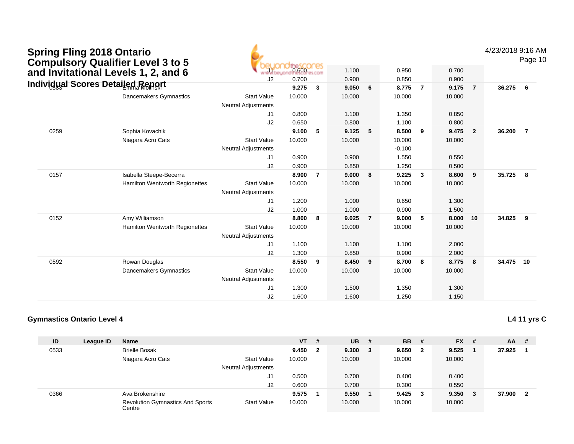| <b>Spring Fling 2018 Ontario</b><br><b>Compulsory Qualifier Level 3 to 5</b> |                                |                            |                  |                |        |                |          |                |        |                | 4/23/2018 9:16 AM | Page 10        |
|------------------------------------------------------------------------------|--------------------------------|----------------------------|------------------|----------------|--------|----------------|----------|----------------|--------|----------------|-------------------|----------------|
| and Invitational Levels 1, 2, and 6                                          |                                |                            | <b>De SCOCES</b> |                | 1.100  |                | 0.950    |                | 0.700  |                |                   |                |
|                                                                              |                                | J2                         | 0.700            |                | 0.900  |                | 0.850    |                | 0.900  |                |                   |                |
| Individual Scores Detailed Report                                            |                                |                            | 9.275            | $\mathbf{3}$   | 9.050  | 6              | 8.775    | $\overline{7}$ | 9.175  | $\overline{7}$ | 36.275            | 6              |
|                                                                              | <b>Dancemakers Gymnastics</b>  | <b>Start Value</b>         | 10.000           |                | 10.000 |                | 10.000   |                | 10.000 |                |                   |                |
|                                                                              |                                | <b>Neutral Adjustments</b> |                  |                |        |                |          |                |        |                |                   |                |
|                                                                              |                                | J1                         | 0.800            |                | 1.100  |                | 1.350    |                | 0.850  |                |                   |                |
|                                                                              |                                | J2                         | 0.650            |                | 0.800  |                | 1.100    |                | 0.800  |                |                   |                |
| 0259                                                                         | Sophia Kovachik                |                            | 9.100            | 5              | 9.125  | 5              | 8.500    | 9              | 9.475  | $\overline{2}$ | 36.200            | $\overline{7}$ |
|                                                                              | Niagara Acro Cats              | <b>Start Value</b>         | 10.000           |                | 10.000 |                | 10.000   |                | 10.000 |                |                   |                |
|                                                                              |                                | <b>Neutral Adjustments</b> |                  |                |        |                | $-0.100$ |                |        |                |                   |                |
|                                                                              |                                | J <sub>1</sub>             | 0.900            |                | 0.900  |                | 1.550    |                | 0.550  |                |                   |                |
|                                                                              |                                | J2                         | 0.900            |                | 0.850  |                | 1.250    |                | 0.500  |                |                   |                |
| 0157                                                                         | Isabella Steepe-Becerra        |                            | 8.900            | $\overline{7}$ | 9.000  | 8              | 9.225    | $\mathbf{3}$   | 8.600  | 9              | 35.725            | 8              |
|                                                                              | Hamilton Wentworth Regionettes | <b>Start Value</b>         | 10.000           |                | 10.000 |                | 10.000   |                | 10.000 |                |                   |                |
|                                                                              |                                | <b>Neutral Adjustments</b> |                  |                |        |                |          |                |        |                |                   |                |
|                                                                              |                                | J1                         | 1.200            |                | 1.000  |                | 0.650    |                | 1.300  |                |                   |                |
|                                                                              |                                | J2                         | 1.000            |                | 1.000  |                | 0.900    |                | 1.500  |                |                   |                |
| 0152                                                                         | Amy Williamson                 |                            | 8.800            | 8              | 9.025  | $\overline{7}$ | 9.000    | -5             | 8.000  | 10             | 34.825            | 9              |
|                                                                              | Hamilton Wentworth Regionettes | <b>Start Value</b>         | 10.000           |                | 10.000 |                | 10.000   |                | 10.000 |                |                   |                |
|                                                                              |                                | <b>Neutral Adjustments</b> |                  |                |        |                |          |                |        |                |                   |                |
|                                                                              |                                | J1                         | 1.100            |                | 1.100  |                | 1.100    |                | 2.000  |                |                   |                |
|                                                                              |                                | J2                         | 1.300            |                | 0.850  |                | 0.900    |                | 2.000  |                |                   |                |
| 0592                                                                         | Rowan Douglas                  |                            | 8.550            | 9              | 8.450  | 9              | 8.700    | 8              | 8.775  | 8              | 34.475            | 10             |
|                                                                              | Dancemakers Gymnastics         | <b>Start Value</b>         | 10.000           |                | 10.000 |                | 10.000   |                | 10.000 |                |                   |                |
|                                                                              |                                | <b>Neutral Adjustments</b> |                  |                |        |                |          |                |        |                |                   |                |
|                                                                              |                                | J1                         | 1.300            |                | 1.500  |                | 1.350    |                | 1.300  |                |                   |                |
|                                                                              |                                | J2                         | 1.600            |                | 1.600  |                | 1.250    |                | 1.150  |                |                   |                |
|                                                                              |                                |                            |                  |                |        |                |          |                |        |                |                   |                |

| ID   | League ID | <b>Name</b>                                       |                            | <b>VT</b> | # | <b>UB</b> | # | <b>BB</b> # |   | <b>FX</b> | - # | AA     | - #                     |
|------|-----------|---------------------------------------------------|----------------------------|-----------|---|-----------|---|-------------|---|-----------|-----|--------|-------------------------|
| 0533 |           | <b>Brielle Bosak</b>                              |                            | 9.450     | 2 | 9.300     | 3 | 9.650       | 2 | 9.525     |     | 37.925 |                         |
|      |           | Niagara Acro Cats                                 | <b>Start Value</b>         | 10.000    |   | 10.000    |   | 10.000      |   | 10.000    |     |        |                         |
|      |           |                                                   | <b>Neutral Adjustments</b> |           |   |           |   |             |   |           |     |        |                         |
|      |           |                                                   | J1                         | 0.500     |   | 0.700     |   | 0.400       |   | 0.400     |     |        |                         |
|      |           |                                                   | J2                         | 0.600     |   | 0.700     |   | 0.300       |   | 0.550     |     |        |                         |
| 0366 |           | Ava Brokenshire                                   |                            | 9.575     |   | 9.550     |   | 9.425       | 3 | 9.350     |     | 37.900 | $\overline{\mathbf{2}}$ |
|      |           | <b>Revolution Gymnastics And Sports</b><br>Centre | <b>Start Value</b>         | 10.000    |   | 10.000    |   | 10.000      |   | 10.000    |     |        |                         |

**L4 11 yrs C**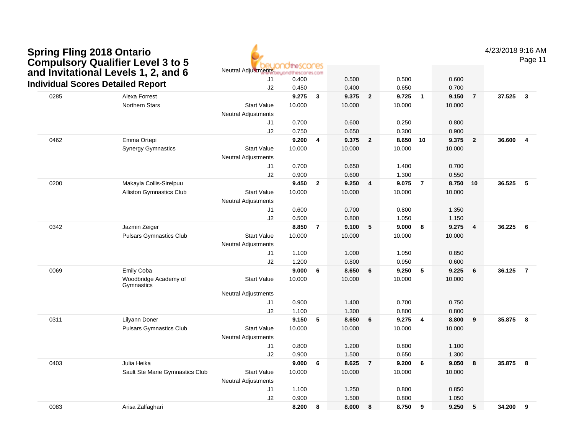| <b>Spring Fling 2018 Ontario</b>         |
|------------------------------------------|
| <b>Compulsory Qualifier Level 3 to 5</b> |
| and Invitational Levels 1, 2, and 6      |
| Individual Scores Detailed Penert        |



4/23/2018 9:16 AM

| and invitational Levels 1, 2, and 6 |                                          | $\frac{1}{2}$              | eyondthescores.com |                |        |                         |        |                |        |                         |        |                         |
|-------------------------------------|------------------------------------------|----------------------------|--------------------|----------------|--------|-------------------------|--------|----------------|--------|-------------------------|--------|-------------------------|
|                                     | <b>Individual Scores Detailed Report</b> | J <sub>1</sub>             | 0.400              |                | 0.500  |                         | 0.500  |                | 0.600  |                         |        |                         |
|                                     |                                          | J2                         | 0.450              |                | 0.400  |                         | 0.650  |                | 0.700  |                         |        |                         |
| 0285                                | Alexa Forrest                            |                            | 9.275              | $\mathbf{3}$   | 9.375  | $\mathbf{2}$            | 9.725  | $\overline{1}$ | 9.150  | $\overline{7}$          | 37.525 | $\overline{\mathbf{3}}$ |
|                                     | <b>Northern Stars</b>                    | <b>Start Value</b>         | 10.000             |                | 10.000 |                         | 10.000 |                | 10.000 |                         |        |                         |
|                                     |                                          | <b>Neutral Adjustments</b> |                    |                |        |                         |        |                |        |                         |        |                         |
|                                     |                                          | J1                         | 0.700              |                | 0.600  |                         | 0.250  |                | 0.800  |                         |        |                         |
|                                     |                                          | J2                         | 0.750              |                | 0.650  |                         | 0.300  |                | 0.900  |                         |        |                         |
| 0462                                | Emma Ortepi                              |                            | 9.200              | $\overline{4}$ | 9.375  | $\overline{\mathbf{2}}$ | 8.650  | 10             | 9.375  | $\overline{2}$          | 36.600 | $\overline{4}$          |
|                                     | <b>Synergy Gymnastics</b>                | <b>Start Value</b>         | 10.000             |                | 10.000 |                         | 10.000 |                | 10.000 |                         |        |                         |
|                                     |                                          | <b>Neutral Adjustments</b> |                    |                |        |                         |        |                |        |                         |        |                         |
|                                     |                                          | J1                         | 0.700              |                | 0.650  |                         | 1.400  |                | 0.700  |                         |        |                         |
|                                     |                                          | J2                         | 0.900              |                | 0.600  |                         | 1.300  |                | 0.550  |                         |        |                         |
| 0200                                | Makayla Collis-Sirelpuu                  |                            | 9.450              | $\mathbf{2}$   | 9.250  | $\overline{\mathbf{4}}$ | 9.075  | $\overline{7}$ | 8.750  | 10                      | 36.525 | 5                       |
|                                     | <b>Alliston Gymnastics Club</b>          | <b>Start Value</b>         | 10.000             |                | 10.000 |                         | 10.000 |                | 10.000 |                         |        |                         |
|                                     |                                          | <b>Neutral Adjustments</b> |                    |                |        |                         |        |                |        |                         |        |                         |
|                                     |                                          | J <sub>1</sub>             | 0.600              |                | 0.700  |                         | 0.800  |                | 1.350  |                         |        |                         |
|                                     |                                          | J2                         | 0.500              |                | 0.800  |                         | 1.050  |                | 1.150  |                         |        |                         |
| 0342                                | Jazmin Zeiger                            |                            | 8.850              | $\overline{7}$ | 9.100  | 5                       | 9.000  | 8              | 9.275  | $\overline{\mathbf{4}}$ | 36.225 | 6                       |
|                                     | <b>Pulsars Gymnastics Club</b>           | <b>Start Value</b>         | 10.000             |                | 10.000 |                         | 10.000 |                | 10.000 |                         |        |                         |
|                                     |                                          | <b>Neutral Adjustments</b> |                    |                |        |                         |        |                |        |                         |        |                         |
|                                     |                                          | J <sub>1</sub>             | 1.100              |                | 1.000  |                         | 1.050  |                | 0.850  |                         |        |                         |
|                                     |                                          | J2                         | 1.200              |                | 0.800  |                         | 0.950  |                | 0.600  |                         |        |                         |
| 0069                                | Emily Coba                               |                            | 9.000              | 6              | 8.650  | 6                       | 9.250  | 5              | 9.225  | 6                       | 36.125 | $\overline{7}$          |
|                                     | Woodbridge Academy of<br>Gymnastics      | <b>Start Value</b>         | 10.000             |                | 10.000 |                         | 10.000 |                | 10.000 |                         |        |                         |
|                                     |                                          | <b>Neutral Adjustments</b> |                    |                |        |                         |        |                |        |                         |        |                         |
|                                     |                                          | J1                         | 0.900              |                | 1.400  |                         | 0.700  |                | 0.750  |                         |        |                         |
|                                     |                                          | J2                         | 1.100              |                | 1.300  |                         | 0.800  |                | 0.800  |                         |        |                         |
| 0311                                | Lilyann Doner                            |                            | 9.150              | 5              | 8.650  | 6                       | 9.275  | 4              | 8.800  | $\boldsymbol{9}$        | 35.875 | $\overline{\mathbf{8}}$ |
|                                     | <b>Pulsars Gymnastics Club</b>           | <b>Start Value</b>         | 10.000             |                | 10.000 |                         | 10.000 |                | 10.000 |                         |        |                         |
|                                     |                                          | <b>Neutral Adjustments</b> |                    |                |        |                         |        |                |        |                         |        |                         |
|                                     |                                          | J <sub>1</sub>             | 0.800              |                | 1.200  |                         | 0.800  |                | 1.100  |                         |        |                         |
|                                     |                                          | J2                         | 0.900              |                | 1.500  |                         | 0.650  |                | 1.300  |                         |        |                         |
| 0403                                | Julia Heika                              |                            | 9.000              | 6              | 8.625  | $\overline{7}$          | 9.200  | 6              | 9.050  | 8                       | 35.875 | 8                       |
|                                     | Sault Ste Marie Gymnastics Club          | <b>Start Value</b>         | 10.000             |                | 10.000 |                         | 10.000 |                | 10.000 |                         |        |                         |
|                                     |                                          | Neutral Adjustments        |                    |                |        |                         |        |                |        |                         |        |                         |
|                                     |                                          | J <sub>1</sub>             | 1.100              |                | 1.250  |                         | 0.800  |                | 0.850  |                         |        |                         |
|                                     |                                          | J2                         | 0.900              |                | 1.500  |                         | 0.800  |                | 1.050  |                         |        |                         |
| 0083                                | Arisa Zalfaghari                         |                            | 8.200              | 8              | 8.000  | 8                       | 8.750  | 9              | 9.250  | $5\phantom{.0}$         | 34.200 | 9                       |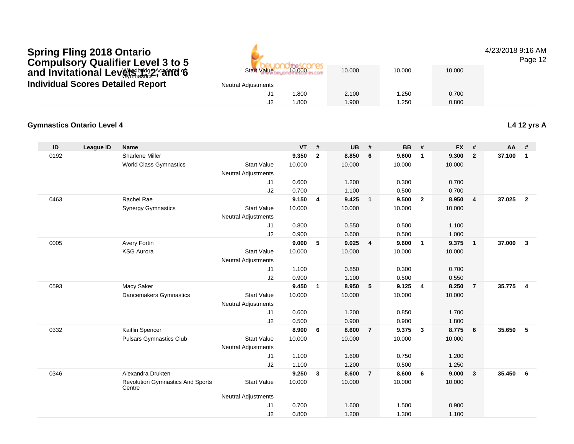## Wedbridge Academy C Spring Fling 2018 Ontario<br>Compulsory Qualifier Level 3 to 5<br>and Invitational Levမျှ<del>းျဖွ</del>2, and 6<br>Individual Scores Detailed Report

Start Value $\frac{6}{10000}$  10.000 10.000 10.000 10.000

|                     | An An Advisor Party and the second and research |       |       |       |
|---------------------|-------------------------------------------------|-------|-------|-------|
| Neutral Adjustments |                                                 |       |       |       |
| J1                  | 1.800                                           | 2.100 | 1.250 | 0.700 |
| J2                  | 1.800                                           | 1.900 | 1.250 | 0.800 |
|                     |                                                 |       |       |       |

#### **Gymnastics Ontario Level 4L4 12 yrs A**

| ID   | <b>League ID</b> | <b>Name</b>                                       |                            | <b>VT</b> | #            | <b>UB</b> | #              | <b>BB</b> | #              | <b>FX</b> | #                       | AA     | #              |
|------|------------------|---------------------------------------------------|----------------------------|-----------|--------------|-----------|----------------|-----------|----------------|-----------|-------------------------|--------|----------------|
| 0192 |                  | <b>Sharlene Miller</b>                            |                            | 9.350     | $\mathbf{2}$ | 8.850     | 6              | 9.600     | $\mathbf{1}$   | 9.300     | $\overline{2}$          | 37.100 | $\overline{1}$ |
|      |                  | <b>World Class Gymnastics</b>                     | <b>Start Value</b>         | 10.000    |              | 10.000    |                | 10.000    |                | 10.000    |                         |        |                |
|      |                  |                                                   | <b>Neutral Adjustments</b> |           |              |           |                |           |                |           |                         |        |                |
|      |                  |                                                   | J1                         | 0.600     |              | 1.200     |                | 0.300     |                | 0.700     |                         |        |                |
|      |                  |                                                   | J2                         | 0.700     |              | 1.100     |                | 0.500     |                | 0.700     |                         |        |                |
| 0463 |                  | Rachel Rae                                        |                            | 9.150     | 4            | 9.425     | $\overline{1}$ | 9.500     | $\overline{2}$ | 8.950     | $\overline{4}$          | 37.025 | $\overline{2}$ |
|      |                  | <b>Synergy Gymnastics</b>                         | <b>Start Value</b>         | 10.000    |              | 10.000    |                | 10.000    |                | 10.000    |                         |        |                |
|      |                  |                                                   | <b>Neutral Adjustments</b> |           |              |           |                |           |                |           |                         |        |                |
|      |                  |                                                   | J1                         | 0.800     |              | 0.550     |                | 0.500     |                | 1.100     |                         |        |                |
|      |                  |                                                   | J2                         | 0.900     |              | 0.600     |                | 0.500     |                | 1.000     |                         |        |                |
| 0005 |                  | <b>Avery Fortin</b>                               |                            | 9.000     | 5            | 9.025     | 4              | 9.600     | $\overline{1}$ | 9.375     | $\overline{\mathbf{1}}$ | 37.000 | $\mathbf{3}$   |
|      |                  | <b>KSG Aurora</b>                                 | <b>Start Value</b>         | 10.000    |              | 10.000    |                | 10.000    |                | 10.000    |                         |        |                |
|      |                  |                                                   | <b>Neutral Adjustments</b> |           |              |           |                |           |                |           |                         |        |                |
|      |                  |                                                   | J1                         | 1.100     |              | 0.850     |                | 0.300     |                | 0.700     |                         |        |                |
|      |                  |                                                   | J2                         | 0.900     |              | 1.100     |                | 0.500     |                | 0.550     |                         |        |                |
| 0593 |                  | Macy Saker                                        |                            | 9.450     | $\mathbf{1}$ | 8.950     | 5              | 9.125     | $\overline{4}$ | 8.250     | $\overline{7}$          | 35.775 | $\overline{4}$ |
|      |                  | Dancemakers Gymnastics                            | <b>Start Value</b>         | 10.000    |              | 10.000    |                | 10.000    |                | 10.000    |                         |        |                |
|      |                  |                                                   | <b>Neutral Adjustments</b> |           |              |           |                |           |                |           |                         |        |                |
|      |                  |                                                   | J <sub>1</sub>             | 0.600     |              | 1.200     |                | 0.850     |                | 1.700     |                         |        |                |
|      |                  |                                                   | J2                         | 0.500     |              | 0.900     |                | 0.900     |                | 1.800     |                         |        |                |
| 0332 |                  | Kaitlin Spencer                                   |                            | 8.900     | 6            | 8.600     | $\overline{7}$ | 9.375     | $\mathbf{3}$   | 8.775     | 6                       | 35.650 | -5             |
|      |                  | <b>Pulsars Gymnastics Club</b>                    | <b>Start Value</b>         | 10.000    |              | 10.000    |                | 10.000    |                | 10.000    |                         |        |                |
|      |                  |                                                   | <b>Neutral Adjustments</b> |           |              |           |                |           |                |           |                         |        |                |
|      |                  |                                                   | J1                         | 1.100     |              | 1.600     |                | 0.750     |                | 1.200     |                         |        |                |
|      |                  |                                                   | J2                         | 1.100     |              | 1.200     |                | 0.500     |                | 1.250     |                         |        |                |
| 0346 |                  | Alexandra Drukten                                 |                            | 9.250     | 3            | 8.600     | $\overline{7}$ | 8.600     | 6              | 9.000     | $\overline{\mathbf{3}}$ | 35.450 | - 6            |
|      |                  | <b>Revolution Gymnastics And Sports</b><br>Centre | <b>Start Value</b>         | 10.000    |              | 10.000    |                | 10.000    |                | 10.000    |                         |        |                |
|      |                  |                                                   | <b>Neutral Adjustments</b> |           |              |           |                |           |                |           |                         |        |                |
|      |                  |                                                   | J <sub>1</sub>             | 0.700     |              | 1.600     |                | 1.500     |                | 0.900     |                         |        |                |
|      |                  |                                                   | J2                         | 0.800     |              | 1.200     |                | 1.300     |                | 1.100     |                         |        |                |

#### 4/23/2018 9:16 AM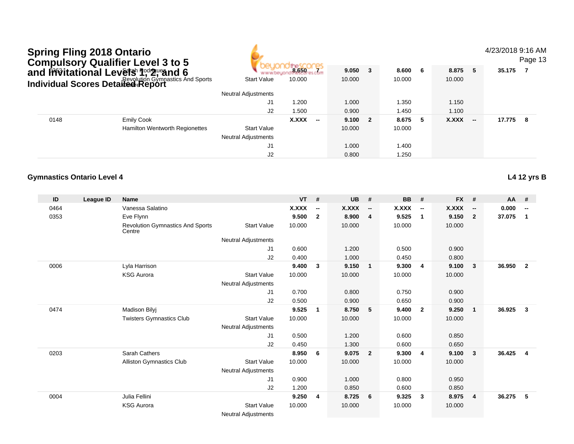|      | <b>Spring Fling 2018 Ontario</b>                                                                                                          |                                                                |                                                  |                 |                          |                 |                          |                 |                          |                 | 4/23/2018 9:16 AM        | Page 13  |                          |
|------|-------------------------------------------------------------------------------------------------------------------------------------------|----------------------------------------------------------------|--------------------------------------------------|-----------------|--------------------------|-----------------|--------------------------|-----------------|--------------------------|-----------------|--------------------------|----------|--------------------------|
|      | <b>Compulsory Qualifier Level 3 to 5</b><br>and <b>Invitational Levets<sup>h</sup> Redrivering 6</b><br>Individual Scores Detailed Report |                                                                |                                                  | 8.650           |                          | 9.050           | $\mathbf{3}$             | 8.600           | 6                        | 8.875           | 5                        | 35.175 7 |                          |
|      |                                                                                                                                           |                                                                | <b>Start Value</b>                               | 10.000          |                          | 10.000          |                          | 10.000          |                          | 10.000          |                          |          |                          |
|      |                                                                                                                                           |                                                                | <b>Neutral Adjustments</b>                       |                 |                          |                 |                          |                 |                          |                 |                          |          |                          |
|      |                                                                                                                                           |                                                                | J1                                               | 1.200           |                          | 1.000           |                          | 1.350           |                          | 1.150           |                          |          |                          |
|      |                                                                                                                                           |                                                                | J2                                               | 1.500           |                          | 0.900           |                          | 1.450           |                          | 1.100           |                          |          |                          |
| 0148 |                                                                                                                                           | <b>Emily Cook</b>                                              |                                                  | <b>X.XXX</b>    | $-$                      | 9.100           | $\overline{2}$           | 8.675           | 5                        | <b>X.XXX</b>    | $\overline{\phantom{a}}$ | 17.775   | $_{\rm 8}$               |
|      |                                                                                                                                           | Hamilton Wentworth Regionettes                                 | <b>Start Value</b><br><b>Neutral Adjustments</b> |                 |                          | 10.000          |                          | 10.000          |                          |                 |                          |          |                          |
|      |                                                                                                                                           |                                                                | J1                                               |                 |                          | 1.000           |                          | 1.400           |                          |                 |                          |          |                          |
|      |                                                                                                                                           |                                                                | J2                                               |                 |                          | 0.800           |                          | 1.250           |                          |                 |                          |          |                          |
|      | <b>Gymnastics Ontario Level 4</b>                                                                                                         |                                                                |                                                  |                 |                          |                 |                          |                 |                          |                 |                          |          | <b>L4 12 yrs B</b>       |
| ID   | <b>League ID</b>                                                                                                                          | Name                                                           |                                                  | <b>VT</b>       | #                        | <b>UB</b>       | #                        | <b>BB</b>       | #                        | <b>FX</b>       | #                        | AA       | #                        |
| 0464 |                                                                                                                                           | Vanessa Salatino                                               |                                                  | X.XXX           | $\overline{\phantom{a}}$ | <b>X.XXX</b>    | $\overline{\phantom{a}}$ | X.XXX           | $\overline{\phantom{a}}$ | X.XXX           | $\overline{\phantom{a}}$ | 0.000    | $\overline{\phantom{a}}$ |
| 0353 |                                                                                                                                           | Eve Flynn<br><b>Revolution Gymnastics And Sports</b><br>Centre | <b>Start Value</b>                               | 9.500<br>10.000 | $\mathbf{2}$             | 8.900<br>10.000 | $\overline{\mathbf{4}}$  | 9.525<br>10.000 | $\mathbf{1}$             | 9.150<br>10.000 | $\overline{2}$           | 37.075   | $\overline{\mathbf{1}}$  |
|      |                                                                                                                                           |                                                                | <b>Neutral Adjustments</b>                       |                 |                          |                 |                          |                 |                          |                 |                          |          |                          |
|      |                                                                                                                                           |                                                                | J1                                               | 0.600           |                          | 1.200           |                          | 0.500           |                          | 0.900           |                          |          |                          |
|      |                                                                                                                                           |                                                                | J2                                               | 0.400           |                          | 1.000           |                          | 0.450           |                          | 0.800           |                          |          |                          |
| 0006 |                                                                                                                                           | Lyla Harrison                                                  |                                                  | 9.400           | 3                        | 9.150           | $\mathbf{1}$             | 9.300           | $\overline{4}$           | 9.100           | $\mathbf{3}$             | 36.950   | $\overline{2}$           |
|      |                                                                                                                                           | <b>KSG Aurora</b>                                              | <b>Start Value</b>                               | 10.000          |                          | 10.000          |                          | 10.000          |                          | 10.000          |                          |          |                          |
|      |                                                                                                                                           |                                                                | Neutral Adjustments                              |                 |                          |                 |                          |                 |                          |                 |                          |          |                          |
|      |                                                                                                                                           |                                                                | J1                                               | 0.700           |                          | 0.800           |                          | 0.750           |                          | 0.900           |                          |          |                          |
|      |                                                                                                                                           |                                                                | J2                                               | 0.500           |                          | 0.900           |                          | 0.650           |                          | 0.900           |                          |          |                          |
| 0474 |                                                                                                                                           | <b>Madison Bilyj</b>                                           |                                                  | 9.525           | $\overline{1}$           | 8.750           | 5                        | 9.400           | $\overline{2}$           | 9.250           | $\mathbf{1}$             | 36.925   | $\mathbf{3}$             |
|      |                                                                                                                                           | <b>Twisters Gymnastics Club</b>                                | <b>Start Value</b><br><b>Neutral Adjustments</b> | 10.000          |                          | 10.000          |                          | 10.000          |                          | 10.000          |                          |          |                          |
|      |                                                                                                                                           |                                                                | J1                                               | 0.500           |                          | 1.200           |                          | 0.600           |                          | 0.850           |                          |          |                          |
|      |                                                                                                                                           |                                                                | J2                                               | 0.450           |                          | 1.300           |                          | 0.600           |                          | 0.650           |                          |          |                          |
| 0203 |                                                                                                                                           | Sarah Cathers                                                  |                                                  | 8.950           | 6                        | 9.075           | $\overline{2}$           | 9.300           | 4                        | 9.100           | $\mathbf{3}$             | 36.425   | $\overline{4}$           |
|      |                                                                                                                                           | Alliston Gymnastics Club                                       | <b>Start Value</b><br><b>Neutral Adjustments</b> | 10.000          |                          | 10.000          |                          | 10.000          |                          | 10.000          |                          |          |                          |
|      |                                                                                                                                           |                                                                | J1                                               | 0.900           |                          | 1.000           |                          | 0.800           |                          | 0.950           |                          |          |                          |
|      |                                                                                                                                           |                                                                | J2                                               | 1.200           |                          | 0.850           |                          | 0.600           |                          | 0.850           |                          |          |                          |
| 0004 |                                                                                                                                           | Julia Fellini                                                  |                                                  | 9.250           | 4                        | 8.725           | 6                        | 9.325           | $\mathbf{3}$             | 8.975           | 4                        | 36.275   | 5                        |
|      |                                                                                                                                           | <b>KSG Aurora</b>                                              | <b>Start Value</b><br><b>Neutral Adjustments</b> | 10.000          |                          | 10.000          |                          | 10.000          |                          | 10.000          |                          |          |                          |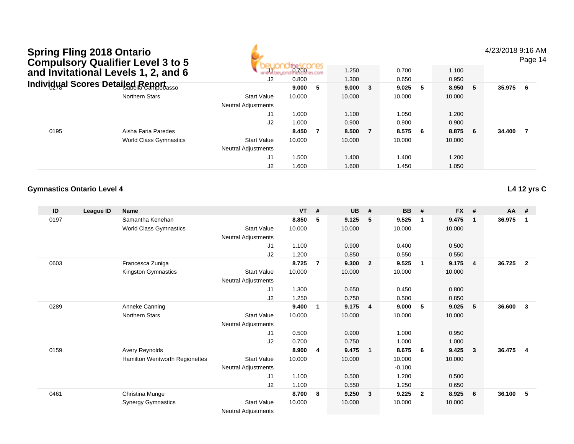4/23/2018 9:16 AM

Page 14

|      | Compulsory Qualifier Level 3 to 5<br>and Invitational Levels 1, 2, and 6 | J2                         | 0.700 es<br>0.800 |   | 1.250<br>1.300 | 0.700<br>0.650 |     | 1.100<br>0.950 |    |          | ı ayo |
|------|--------------------------------------------------------------------------|----------------------------|-------------------|---|----------------|----------------|-----|----------------|----|----------|-------|
|      | Individual Scores Detailed Report                                        |                            | 9.000             | 5 | $9.000 \t 3$   | 9.025          | - 5 | 8.950          | 5  | 35.975 6 |       |
|      | Northern Stars                                                           | <b>Start Value</b>         | 10.000            |   | 10.000         | 10.000         |     | 10.000         |    |          |       |
|      |                                                                          | <b>Neutral Adjustments</b> |                   |   |                |                |     |                |    |          |       |
|      |                                                                          | J1                         | 1.000             |   | 1.100          | 1.050          |     | 1.200          |    |          |       |
|      |                                                                          | J2                         | 1.000             |   | 0.900          | 0.900          |     | 0.900          |    |          |       |
| 0195 | Aisha Faria Paredes                                                      |                            | 8.450             |   | 8.500 7        | 8.575          | - 6 | 8.875          | -6 | 34.400   |       |
|      | <b>World Class Gymnastics</b>                                            | <b>Start Value</b>         | 10.000            |   | 10.000         | 10.000         |     | 10.000         |    |          |       |
|      |                                                                          | <b>Neutral Adjustments</b> |                   |   |                |                |     |                |    |          |       |
|      |                                                                          | J1                         | 1.500             |   | 1.400          | 1.400          |     | 1.200          |    |          |       |
|      |                                                                          | J2                         | 1.600             |   | 1.600          | 1.450          |     | 1.050          |    |          |       |

#### **Gymnastics Ontario Level 4**

**L4 12 yrs C**

| ID   | League ID | <b>Name</b>                    |                     | <b>VT</b> | #              | <b>UB</b> | #                       | <b>BB</b> | #              | <b>FX</b> | #           | <b>AA</b> | #              |
|------|-----------|--------------------------------|---------------------|-----------|----------------|-----------|-------------------------|-----------|----------------|-----------|-------------|-----------|----------------|
| 0197 |           | Samantha Kenehan               |                     | 8.850     | 5              | 9.125     | 5                       | 9.525     | -1             | 9.475     | $\mathbf 1$ | 36.975    | 1              |
|      |           | <b>World Class Gymnastics</b>  | <b>Start Value</b>  | 10.000    |                | 10.000    |                         | 10.000    |                | 10.000    |             |           |                |
|      |           |                                | Neutral Adjustments |           |                |           |                         |           |                |           |             |           |                |
|      |           |                                | J <sub>1</sub>      | 1.100     |                | 0.900     |                         | 0.400     |                | 0.500     |             |           |                |
|      |           |                                | J2                  | 1.200     |                | 0.850     |                         | 0.550     |                | 0.550     |             |           |                |
| 0603 |           | Francesca Zuniga               |                     | 8.725     | $\overline{7}$ | 9.300     | $\overline{2}$          | 9.525     | $\mathbf 1$    | 9.175     | 4           | 36.725    | $\overline{2}$ |
|      |           | Kingston Gymnastics            | <b>Start Value</b>  | 10.000    |                | 10.000    |                         | 10.000    |                | 10.000    |             |           |                |
|      |           |                                | Neutral Adjustments |           |                |           |                         |           |                |           |             |           |                |
|      |           |                                | J1                  | 1.300     |                | 0.650     |                         | 0.450     |                | 0.800     |             |           |                |
|      |           |                                | J <sub>2</sub>      | 1.250     |                | 0.750     |                         | 0.500     |                | 0.850     |             |           |                |
| 0289 |           | Anneke Canning                 |                     | 9.400     | $\overline{1}$ | 9.175     | $\overline{4}$          | 9.000     | 5              | 9.025     | 5           | 36.600    | 3              |
|      |           | Northern Stars                 | <b>Start Value</b>  | 10.000    |                | 10.000    |                         | 10.000    |                | 10.000    |             |           |                |
|      |           |                                | Neutral Adjustments |           |                |           |                         |           |                |           |             |           |                |
|      |           |                                | J <sub>1</sub>      | 0.500     |                | 0.900     |                         | 1.000     |                | 0.950     |             |           |                |
|      |           |                                | J2                  | 0.700     |                | 0.750     |                         | 1.000     |                | 1.000     |             |           |                |
| 0159 |           | Avery Reynolds                 |                     | 8.900     | $\overline{4}$ | 9.475     | $\overline{\mathbf{1}}$ | 8.675     | 6              | 9.425     | 3           | 36.475    | $\overline{4}$ |
|      |           | Hamilton Wentworth Regionettes | <b>Start Value</b>  | 10.000    |                | 10.000    |                         | 10.000    |                | 10.000    |             |           |                |
|      |           |                                | Neutral Adjustments |           |                |           |                         | $-0.100$  |                |           |             |           |                |
|      |           |                                | J <sub>1</sub>      | 1.100     |                | 0.500     |                         | 1.200     |                | 0.500     |             |           |                |
|      |           |                                | J2                  | 1.100     |                | 0.550     |                         | 1.250     |                | 0.650     |             |           |                |
| 0461 |           | Christina Munge                |                     | 8.700     | 8              | 9.250     | 3                       | 9.225     | $\overline{2}$ | 8.925     | 6           | 36.100    | 5              |
|      |           | <b>Synergy Gymnastics</b>      | <b>Start Value</b>  | 10.000    |                | 10.000    |                         | 10.000    |                | 10.000    |             |           |                |
|      |           |                                | Neutral Adjustments |           |                |           |                         |           |                |           |             |           |                |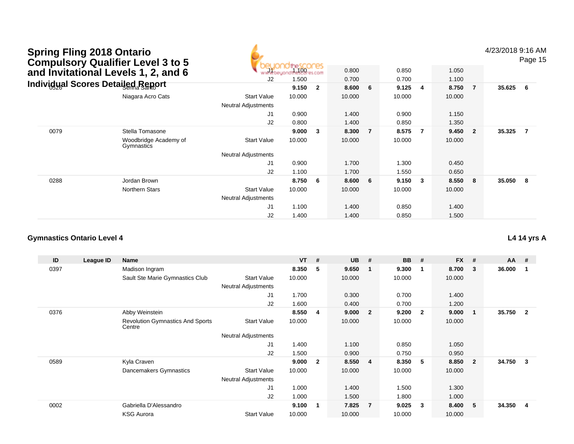| <b>Spring Fling 2018 Ontario</b>         |
|------------------------------------------|
| <b>Compulsory Qualifier Level 3 to 5</b> |
| and Invitational Levels 1, 2, and 6      |
| Individual Scores Detailed Report        |

4/23/2018 9:16 AM

Page 15

|      | and Invitational Levels 1, 2, and 6      | www.beyon                  | the 100 res com |                | 0.800  |                | 0.850  |                         | 1.050  |                |          |   |
|------|------------------------------------------|----------------------------|-----------------|----------------|--------|----------------|--------|-------------------------|--------|----------------|----------|---|
|      |                                          | J2                         | 1.500           |                | 0.700  |                | 0.700  |                         | 1.100  |                |          |   |
|      | <b>Individual Scores Detailed Report</b> |                            | 9.150           | $\overline{2}$ | 8.600  | - 6            | 9.125  | $\overline{4}$          | 8.750  | $\overline{7}$ | 35.625 6 |   |
|      | Niagara Acro Cats                        | <b>Start Value</b>         | 10.000          |                | 10.000 |                | 10.000 |                         | 10.000 |                |          |   |
|      |                                          | <b>Neutral Adjustments</b> |                 |                |        |                |        |                         |        |                |          |   |
|      |                                          | J <sub>1</sub>             | 0.900           |                | 1.400  |                | 0.900  |                         | 1.150  |                |          |   |
|      |                                          | J2                         | 0.800           |                | 1.400  |                | 0.850  |                         | 1.350  |                |          |   |
| 0079 | Stella Tomasone                          |                            | 9.000           | 3              | 8.300  | $\overline{7}$ | 8.575  | - 7                     | 9.450  | $\overline{2}$ | 35.325   |   |
|      | Woodbridge Academy of<br>Gymnastics      | <b>Start Value</b>         | 10.000          |                | 10.000 |                | 10.000 |                         | 10.000 |                |          |   |
|      |                                          | <b>Neutral Adjustments</b> |                 |                |        |                |        |                         |        |                |          |   |
|      |                                          | J1                         | 0.900           |                | 1.700  |                | 1.300  |                         | 0.450  |                |          |   |
|      |                                          | J2                         | 1.100           |                | 1.700  |                | 1.550  |                         | 0.650  |                |          |   |
| 0288 | Jordan Brown                             |                            | 8.750           | 6              | 8.600  | 6              | 9.150  | $\overline{\mathbf{3}}$ | 8.550  | 8              | 35.050   | 8 |
|      | Northern Stars                           | <b>Start Value</b>         | 10.000          |                | 10.000 |                | 10.000 |                         | 10.000 |                |          |   |
|      |                                          | <b>Neutral Adjustments</b> |                 |                |        |                |        |                         |        |                |          |   |
|      |                                          | J <sub>1</sub>             | 1.100           |                | 1.400  |                | 0.850  |                         | 1.400  |                |          |   |
|      |                                          | J2                         | 1.400           |                | 1.400  |                | 0.850  |                         | 1.500  |                |          |   |

#### **Gymnastics Ontario Level 4**

| ID   | League ID | Name                                              |                            | $VT$ # |                | <b>UB</b> | #              | <b>BB</b> | #                       | <b>FX</b> | #            | $AA$ # |                |
|------|-----------|---------------------------------------------------|----------------------------|--------|----------------|-----------|----------------|-----------|-------------------------|-----------|--------------|--------|----------------|
| 0397 |           | Madison Ingram                                    |                            | 8.350  | 5              | 9.650     | $\mathbf{1}$   | 9.300     | -1                      | 8.700     | 3            | 36.000 |                |
|      |           | Sault Ste Marie Gymnastics Club                   | <b>Start Value</b>         | 10.000 |                | 10.000    |                | 10.000    |                         | 10.000    |              |        |                |
|      |           |                                                   | <b>Neutral Adjustments</b> |        |                |           |                |           |                         |           |              |        |                |
|      |           |                                                   | J1                         | 1.700  |                | 0.300     |                | 0.700     |                         | 1.400     |              |        |                |
|      |           |                                                   | J2                         | 1.600  |                | 0.400     |                | 0.700     |                         | 1.200     |              |        |                |
| 0376 |           | Abby Weinstein                                    |                            | 8.550  | 4              | 9.000     | $\overline{2}$ | 9.200     | $\overline{\mathbf{2}}$ | 9.000     | -1           | 35.750 | $\overline{2}$ |
|      |           | <b>Revolution Gymnastics And Sports</b><br>Centre | <b>Start Value</b>         | 10.000 |                | 10.000    |                | 10.000    |                         | 10.000    |              |        |                |
|      |           |                                                   | <b>Neutral Adjustments</b> |        |                |           |                |           |                         |           |              |        |                |
|      |           |                                                   | J <sub>1</sub>             | 1.400  |                | 1.100     |                | 0.850     |                         | 1.050     |              |        |                |
|      |           |                                                   | J2                         | 1.500  |                | 0.900     |                | 0.750     |                         | 0.950     |              |        |                |
| 0589 |           | Kyla Craven                                       |                            | 9.000  | $\overline{2}$ | 8.550     | 4              | 8.350     | -5                      | 8.850     | $\mathbf{2}$ | 34.750 | 3              |
|      |           | Dancemakers Gymnastics                            | <b>Start Value</b>         | 10.000 |                | 10.000    |                | 10.000    |                         | 10.000    |              |        |                |
|      |           |                                                   | <b>Neutral Adjustments</b> |        |                |           |                |           |                         |           |              |        |                |
|      |           |                                                   | J1                         | 1.000  |                | 1.400     |                | 1.500     |                         | 1.300     |              |        |                |
|      |           |                                                   | J2                         | 1.000  |                | 1.500     |                | 1.800     |                         | 1.000     |              |        |                |
| 0002 |           | Gabriella D'Alessandro                            |                            | 9.100  | 1              | 7.825     | $\overline{7}$ | 9.025     | -3                      | 8.400     | 5            | 34.350 | 4              |
|      |           | <b>KSG Aurora</b>                                 | <b>Start Value</b>         | 10.000 |                | 10.000    |                | 10.000    |                         | 10.000    |              |        |                |

#### **L4 14 yrs A**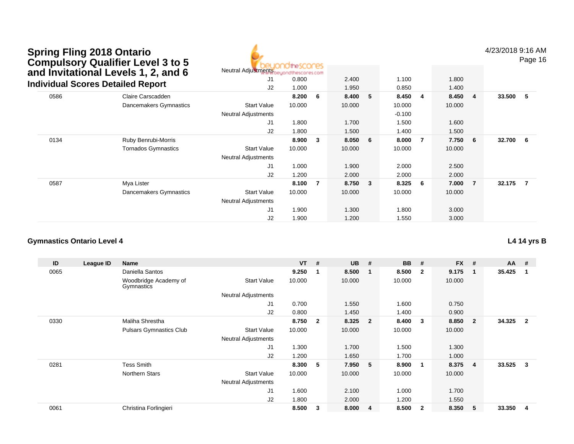| <b>Spring Fling 2018 Ontario</b>         |
|------------------------------------------|
| <b>Compulsory Qualifier Level 3 to 5</b> |
| and Invitational Levels 1, 2, and 6      |
| Individual Scores Detailed Report        |



4/23/2018 9:16 AM

Page 16

|      | and Invitational Levels 1, 2, and 6      | Neutral Adjustments beyond the cores com |        |     |        |              |          |                         |        |                |        |   |
|------|------------------------------------------|------------------------------------------|--------|-----|--------|--------------|----------|-------------------------|--------|----------------|--------|---|
|      |                                          | J1                                       | 0.800  |     | 2.400  |              | 1.100    |                         | 1.800  |                |        |   |
|      | <b>Individual Scores Detailed Report</b> | J2                                       | 1.000  |     | 1.950  |              | 0.850    |                         | 1.400  |                |        |   |
| 0586 | Claire Carscadden                        |                                          | 8.200  | - 6 | 8.400  | -5           | 8.450    | $\overline{\mathbf{4}}$ | 8.450  | - 4            | 33.500 | 5 |
|      | Dancemakers Gymnastics                   | <b>Start Value</b>                       | 10.000 |     | 10.000 |              | 10.000   |                         | 10.000 |                |        |   |
|      |                                          | <b>Neutral Adjustments</b>               |        |     |        |              | $-0.100$ |                         |        |                |        |   |
|      |                                          | J1                                       | 1.800  |     | 1.700  |              | 1.500    |                         | 1.600  |                |        |   |
|      |                                          | J2                                       | 1.800  |     | 1.500  |              | 1.400    |                         | 1.500  |                |        |   |
| 0134 | Ruby Benrubi-Morris                      |                                          | 8.900  | 3   | 8.050  | 6            | 8.000    | 7                       | 7.750  | - 6            | 32.700 | 6 |
|      | <b>Tornados Gymnastics</b>               | <b>Start Value</b>                       | 10.000 |     | 10.000 |              | 10.000   |                         | 10.000 |                |        |   |
|      |                                          | <b>Neutral Adjustments</b>               |        |     |        |              |          |                         |        |                |        |   |
|      |                                          | J <sub>1</sub>                           | 1.000  |     | 1.900  |              | 2.000    |                         | 2.500  |                |        |   |
|      |                                          | J2                                       | 1.200  |     | 2.000  |              | 2.000    |                         | 2.000  |                |        |   |
| 0587 | Mya Lister                               |                                          | 8.100  | - 7 | 8.750  | $\mathbf{3}$ | 8.325    | - 6                     | 7.000  | $\overline{7}$ | 32.175 | 7 |
|      | Dancemakers Gymnastics                   | <b>Start Value</b>                       | 10.000 |     | 10.000 |              | 10.000   |                         | 10.000 |                |        |   |
|      |                                          | <b>Neutral Adjustments</b>               |        |     |        |              |          |                         |        |                |        |   |
|      |                                          | J1                                       | 1.900  |     | 1.300  |              | 1.800    |                         | 3.000  |                |        |   |
|      |                                          | J <sub>2</sub>                           | 1.900  |     | 1.200  |              | 1.550    |                         | 3.000  |                |        |   |

#### **Gymnastics Ontario Level 4**

**ID League ID Name VT # UB # BB # FX # AA #** 0065 Daniella Santos **9.250 <sup>1</sup> 8.500 <sup>1</sup> 8.500 <sup>2</sup> 9.175 <sup>1</sup> 35.425 <sup>1</sup>** Woodbridge Academy of GymnasticsStart Valuee 10.000 10.000 10.000 10.000 Neutral Adjustments J1 0.700 1.550 1.600 0.750 J2 0.800 1.450 1.400 0.900 0330 Maliha Shrestha **8.750 <sup>2</sup> 8.325 <sup>2</sup> 8.400 <sup>3</sup> 8.850 <sup>2</sup> 34.325 <sup>2</sup>** Pulsars Gymnastics Club Start Value 10.000 10.000 10.000 10.000 Neutral Adjustments J1 1.300 1.700 1.500 1.300 J2 1.200 1.650 1.700 1.000 0281 Tess Smith **8.300 <sup>5</sup> 7.950 <sup>5</sup> 8.900 <sup>1</sup> 8.375 <sup>4</sup> 33.525 <sup>3</sup>** Northern Stars Start Valuee 10.000 10.000 10.000 10.000 Neutral Adjustments J1 1.600 2.100 1.000 1.700 J2 1.800 2.000 1.200 1.550 0061Christina Forlingieri **8.500 <sup>3</sup> 8.000 <sup>4</sup> 8.500 <sup>2</sup> 8.350 <sup>5</sup> 33.350 <sup>4</sup>**

**L4 14 yrs B**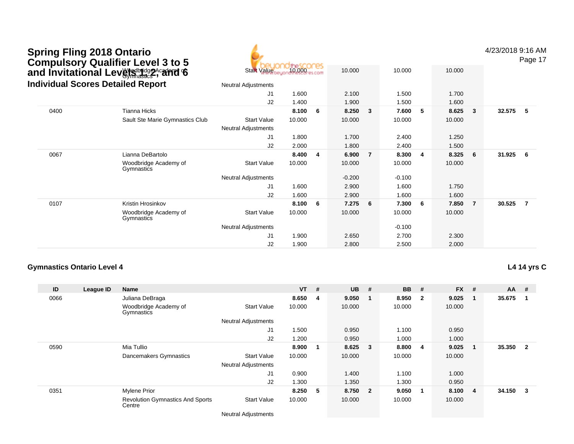## Wedbridge Academy C **Spring Fling 2018 Ontario Compulsory Qualifier Level 3 to 5 and Invitational Levels 1, 2, and 6 Individual Scores Detailed Report**



4/23/2018 9:16 AM

Page 17

|      | dividual Scores Detailed Report     | <b>Neutral Adjustments</b> |        |     |          |                         |          |     |        |                |        |     |
|------|-------------------------------------|----------------------------|--------|-----|----------|-------------------------|----------|-----|--------|----------------|--------|-----|
|      |                                     | J1                         | 1.600  |     | 2.100    |                         | 1.500    |     | 1.700  |                |        |     |
|      |                                     | J2                         | 1.400  |     | 1.900    |                         | 1.500    |     | 1.600  |                |        |     |
| 0400 | Tianna Hicks                        |                            | 8.100  | - 6 | 8.250    | $\overline{\mathbf{3}}$ | 7.600    | - 5 | 8.625  | 3              | 32.575 | 5   |
|      | Sault Ste Marie Gymnastics Club     | <b>Start Value</b>         | 10.000 |     | 10.000   |                         | 10.000   |     | 10.000 |                |        |     |
|      |                                     | <b>Neutral Adjustments</b> |        |     |          |                         |          |     |        |                |        |     |
|      |                                     | J1                         | 1.800  |     | 1.700    |                         | 2.400    |     | 1.250  |                |        |     |
|      |                                     | J2                         | 2.000  |     | 1.800    |                         | 2.400    |     | 1.500  |                |        |     |
| 0067 | Lianna DeBartolo                    |                            | 8.400  | 4   | 6.900    | $\overline{7}$          | 8.300    | -4  | 8.325  | 6              | 31.925 | - 6 |
|      | Woodbridge Academy of<br>Gymnastics | <b>Start Value</b>         | 10.000 |     | 10.000   |                         | 10.000   |     | 10.000 |                |        |     |
|      |                                     | <b>Neutral Adjustments</b> |        |     | $-0.200$ |                         | $-0.100$ |     |        |                |        |     |
|      |                                     | J1                         | 1.600  |     | 2.900    |                         | 1.600    |     | 1.750  |                |        |     |
|      |                                     | J2                         | 1.600  |     | 2.900    |                         | 1.600    |     | 1.600  |                |        |     |
| 0107 | Kristin Hrosinkov                   |                            | 8.100  | 6   | 7.275    | - 6                     | 7.300    | - 6 | 7.850  | $\overline{7}$ | 30.525 | 7   |
|      | Woodbridge Academy of<br>Gymnastics | <b>Start Value</b>         | 10.000 |     | 10.000   |                         | 10.000   |     | 10.000 |                |        |     |
|      |                                     | Neutral Adjustments        |        |     |          |                         | $-0.100$ |     |        |                |        |     |
|      |                                     | J1                         | 1.900  |     | 2.650    |                         | 2.700    |     | 2.300  |                |        |     |
|      |                                     | J2                         | 1.900  |     | 2.800    |                         | 2.500    |     | 2.000  |                |        |     |

#### **Gymnastics Ontario Level 4**

**L4 14 yrs C**

| ID   | League ID | <b>Name</b>                                       |                            | $VT$ # |    | <b>UB</b> | #                       | <b>BB</b> | #                       | <b>FX</b> | # | $AA$ # |                |
|------|-----------|---------------------------------------------------|----------------------------|--------|----|-----------|-------------------------|-----------|-------------------------|-----------|---|--------|----------------|
| 0066 |           | Juliana DeBraga                                   |                            | 8.650  | -4 | 9.050     | - 1                     | 8.950     | $\overline{\mathbf{2}}$ | 9.025     |   | 35.675 |                |
|      |           | Woodbridge Academy of<br>Gymnastics               | <b>Start Value</b>         | 10.000 |    | 10.000    |                         | 10.000    |                         | 10.000    |   |        |                |
|      |           |                                                   | <b>Neutral Adjustments</b> |        |    |           |                         |           |                         |           |   |        |                |
|      |           |                                                   | J <sub>1</sub>             | 1.500  |    | 0.950     |                         | 1.100     |                         | 0.950     |   |        |                |
|      |           |                                                   | J2                         | 1.200  |    | 0.950     |                         | 1.000     |                         | 1.000     |   |        |                |
| 0590 |           | Mia Tullio                                        |                            | 8.900  | 1  | 8.625     | $\mathbf{3}$            | 8.800     | -4                      | 9.025     |   | 35.350 | $\overline{2}$ |
|      |           | Dancemakers Gymnastics                            | <b>Start Value</b>         | 10.000 |    | 10.000    |                         | 10.000    |                         | 10.000    |   |        |                |
|      |           |                                                   | <b>Neutral Adjustments</b> |        |    |           |                         |           |                         |           |   |        |                |
|      |           |                                                   | J1                         | 0.900  |    | 1.400     |                         | 1.100     |                         | 1.000     |   |        |                |
|      |           |                                                   | J2                         | 1.300  |    | 1.350     |                         | 1.300     |                         | 0.950     |   |        |                |
| 0351 |           | <b>Mylene Prior</b>                               |                            | 8.250  | 5  | 8.750     | $\overline{\mathbf{2}}$ | 9.050     | -1                      | 8.100     | 4 | 34.150 | 3              |
|      |           | <b>Revolution Gymnastics And Sports</b><br>Centre | <b>Start Value</b>         | 10.000 |    | 10.000    |                         | 10.000    |                         | 10.000    |   |        |                |

Neutral Adjustments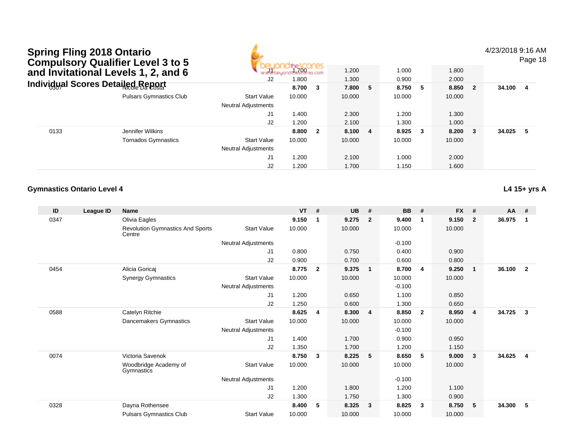4/23/2018 9:16 AM

Page 18

| and Invitational Levels 1, 2, and 6 |                                     | $\Box$ 1                   | 1.700  |                         | 1.200   |  | 1.000  |        |        | 1.800 |          |  |
|-------------------------------------|-------------------------------------|----------------------------|--------|-------------------------|---------|--|--------|--------|--------|-------|----------|--|
|                                     |                                     | J2                         | 1.800  |                         | 1.300   |  | 0.900  |        | 2.000  |       |          |  |
|                                     | Individ္လual Scores Detailed Report |                            | 8.700  | -3                      | 7.800 5 |  | 8.750  | - 5    | 8.850  | -2    | 34.100 4 |  |
|                                     | <b>Pulsars Gymnastics Club</b>      | <b>Start Value</b>         | 10.000 |                         | 10.000  |  | 10.000 |        | 10.000 |       |          |  |
|                                     |                                     | <b>Neutral Adjustments</b> |        |                         |         |  |        |        |        |       |          |  |
|                                     |                                     | J1                         | 1.400  |                         | 2.300   |  | 1.200  |        | 1.300  |       |          |  |
|                                     |                                     | J2                         | 1.200  |                         | 2.100   |  | 1.300  |        | 1.000  |       |          |  |
| 0133                                | Jennifer Wilkins                    |                            | 8.800  | $\overline{\mathbf{2}}$ | 8.100 4 |  | 8.925  | $_{3}$ | 8.200  | -3    | 34.025 5 |  |
|                                     | <b>Tornados Gymnastics</b>          | <b>Start Value</b>         | 10.000 |                         | 10.000  |  | 10.000 |        | 10.000 |       |          |  |
|                                     |                                     | <b>Neutral Adjustments</b> |        |                         |         |  |        |        |        |       |          |  |
|                                     |                                     | J1                         | 1.200  |                         | 2.100   |  | 1.000  |        | 2.000  |       |          |  |
|                                     |                                     | J2                         | 1.200  |                         | 1.700   |  | 1.150  |        | 1.600  |       |          |  |

#### **Gymnastics Ontario Level 4**

**L4 15+ yrs A**

| ID   | League ID | <b>Name</b>                                       |                            | <b>VT</b> | #              | <b>UB</b> | #                       | <b>BB</b> | #                       | <b>FX</b> | #              | $AA$ # |                |
|------|-----------|---------------------------------------------------|----------------------------|-----------|----------------|-----------|-------------------------|-----------|-------------------------|-----------|----------------|--------|----------------|
| 0347 |           | Olivia Eagles                                     |                            | 9.150     | -1             | 9.275     | $\overline{2}$          | 9.400     | $\mathbf 1$             | 9.150     | $\mathbf{2}$   | 36.975 | $\mathbf 1$    |
|      |           | <b>Revolution Gymnastics And Sports</b><br>Centre | <b>Start Value</b>         | 10.000    |                | 10.000    |                         | 10.000    |                         | 10.000    |                |        |                |
|      |           |                                                   | Neutral Adjustments        |           |                |           |                         | $-0.100$  |                         |           |                |        |                |
|      |           |                                                   | J <sub>1</sub>             | 0.800     |                | 0.750     |                         | 0.400     |                         | 0.900     |                |        |                |
|      |           |                                                   | J2                         | 0.900     |                | 0.700     |                         | 0.600     |                         | 0.800     |                |        |                |
| 0454 |           | Alicia Goricaj                                    |                            | 8.775     | $\overline{2}$ | 9.375     | $\overline{\mathbf{1}}$ | 8.700     | 4                       | 9.250     | $\mathbf{1}$   | 36.100 | $\overline{2}$ |
|      |           | <b>Synergy Gymnastics</b>                         | <b>Start Value</b>         | 10.000    |                | 10.000    |                         | 10.000    |                         | 10.000    |                |        |                |
|      |           |                                                   | Neutral Adjustments        |           |                |           |                         | $-0.100$  |                         |           |                |        |                |
|      |           |                                                   | J1                         | 1.200     |                | 0.650     |                         | 1.100     |                         | 0.850     |                |        |                |
|      |           |                                                   | J2                         | 1.250     |                | 0.600     |                         | 1.300     |                         | 0.650     |                |        |                |
| 0588 |           | Catelyn Ritchie                                   |                            | 8.625     | 4              | 8.300     | $\overline{4}$          | 8.850     | $\overline{\mathbf{2}}$ | 8.950     | $\overline{4}$ | 34.725 | 3              |
|      |           | Dancemakers Gymnastics                            | <b>Start Value</b>         | 10.000    |                | 10.000    |                         | 10.000    |                         | 10.000    |                |        |                |
|      |           |                                                   | Neutral Adjustments        |           |                |           |                         | $-0.100$  |                         |           |                |        |                |
|      |           |                                                   | J1                         | 1.400     |                | 1.700     |                         | 0.900     |                         | 0.950     |                |        |                |
|      |           |                                                   | J2                         | 1.350     |                | 1.700     |                         | 1.200     |                         | 1.150     |                |        |                |
| 0074 |           | Victoria Savenok                                  |                            | 8.750     | 3              | 8.225     | 5                       | 8.650     | -5                      | 9.000     | 3              | 34.625 | 4              |
|      |           | Woodbridge Academy of<br>Gymnastics               | <b>Start Value</b>         | 10.000    |                | 10.000    |                         | 10.000    |                         | 10.000    |                |        |                |
|      |           |                                                   | <b>Neutral Adjustments</b> |           |                |           |                         | $-0.100$  |                         |           |                |        |                |
|      |           |                                                   | J <sub>1</sub>             | 1.200     |                | 1.800     |                         | 1.200     |                         | 1.100     |                |        |                |
|      |           |                                                   | J2                         | 1.300     |                | 1.750     |                         | 1.300     |                         | 0.900     |                |        |                |
| 0328 |           | Dayna Rothensee                                   |                            | 8.400     | 5              | 8.325     | $\overline{\mathbf{3}}$ | 8.825     | $\overline{\mathbf{3}}$ | 8.750     | 5              | 34.300 | 5              |
|      |           | <b>Pulsars Gymnastics Club</b>                    | <b>Start Value</b>         | 10.000    |                | 10.000    |                         | 10.000    |                         | 10.000    |                |        |                |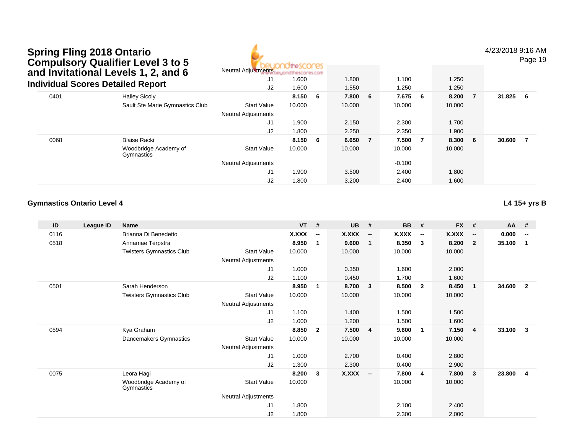

4/23/2018 9:16 AM

Page 19

|      | and Invitational Levels 1, 2, and 6      | <b>Neutral Adjustments</b> | heuondthescores.com |     |         |    |          |                |        |                |        |    |
|------|------------------------------------------|----------------------------|---------------------|-----|---------|----|----------|----------------|--------|----------------|--------|----|
|      |                                          | J1                         | 1.600               |     | 1.800   |    | 1.100    |                | 1.250  |                |        |    |
|      | <b>Individual Scores Detailed Report</b> | J2                         | 1.600               |     | 1.550   |    | 1.250    |                | 1.250  |                |        |    |
| 0401 | <b>Hailey Sicoly</b>                     |                            | 8.150               | - 6 | 7.800 6 |    | 7.675 6  |                | 8.200  | $\overline{7}$ | 31.825 | -6 |
|      | Sault Ste Marie Gymnastics Club          | <b>Start Value</b>         | 10.000              |     | 10.000  |    | 10.000   |                | 10.000 |                |        |    |
|      |                                          | <b>Neutral Adjustments</b> |                     |     |         |    |          |                |        |                |        |    |
|      |                                          | J1                         | 1.900               |     | 2.150   |    | 2.300    |                | 1.700  |                |        |    |
|      |                                          | J2                         | 1.800               |     | 2.250   |    | 2.350    |                | 1.900  |                |        |    |
| 0068 | <b>Blaise Racki</b>                      |                            | 8.150               | - 6 | 6.650   | -7 | 7.500    | $\overline{7}$ | 8.300  | - 6            | 30.600 |    |
|      | Woodbridge Academy of<br>Gymnastics      | <b>Start Value</b>         | 10.000              |     | 10.000  |    | 10.000   |                | 10.000 |                |        |    |
|      |                                          | <b>Neutral Adjustments</b> |                     |     |         |    | $-0.100$ |                |        |                |        |    |
|      |                                          | J1                         | 1.900               |     | 3.500   |    | 2.400    |                | 1.800  |                |        |    |
|      |                                          | J2                         | 1.800               |     | 3.200   |    | 2.400    |                | 1.600  |                |        |    |

#### **Gymnastics Ontario Level 4**

| ID   | League ID | <b>Name</b>                         |                            | <b>VT</b> | #                        | <b>UB</b>    | #                        | <b>BB</b>    | #                        | <b>FX</b>    | #                        | AA     | #                        |
|------|-----------|-------------------------------------|----------------------------|-----------|--------------------------|--------------|--------------------------|--------------|--------------------------|--------------|--------------------------|--------|--------------------------|
| 0116 |           | Brianna Di Benedetto                |                            | X.XXX     | $\overline{\phantom{a}}$ | <b>X.XXX</b> | $\overline{\phantom{a}}$ | <b>X.XXX</b> | $\overline{\phantom{a}}$ | <b>X.XXX</b> | $\overline{\phantom{a}}$ | 0.000  | $\overline{\phantom{a}}$ |
| 0518 |           | Annamae Terpstra                    |                            | 8.950     | 1                        | 9.600        | $\mathbf{1}$             | 8.350        | $\mathbf{3}$             | 8.200        | $\overline{2}$           | 35.100 | $\overline{1}$           |
|      |           | <b>Twisters Gymnastics Club</b>     | <b>Start Value</b>         | 10.000    |                          | 10.000       |                          | 10.000       |                          | 10.000       |                          |        |                          |
|      |           |                                     | Neutral Adjustments        |           |                          |              |                          |              |                          |              |                          |        |                          |
|      |           |                                     | J1                         | 1.000     |                          | 0.350        |                          | 1.600        |                          | 2.000        |                          |        |                          |
|      |           |                                     | J2                         | 1.100     |                          | 0.450        |                          | 1.700        |                          | 1.600        |                          |        |                          |
| 0501 |           | Sarah Henderson                     |                            | 8.950     | 1                        | 8.700        | $\mathbf{3}$             | 8.500        | $\overline{2}$           | 8.450        | $\overline{\mathbf{1}}$  | 34.600 | $\overline{2}$           |
|      |           | <b>Twisters Gymnastics Club</b>     | <b>Start Value</b>         | 10.000    |                          | 10.000       |                          | 10.000       |                          | 10.000       |                          |        |                          |
|      |           |                                     | <b>Neutral Adjustments</b> |           |                          |              |                          |              |                          |              |                          |        |                          |
|      |           |                                     | J1                         | 1.100     |                          | 1.400        |                          | 1.500        |                          | 1.500        |                          |        |                          |
|      |           |                                     | J2                         | 1.000     |                          | 1.200        |                          | 1.500        |                          | 1.600        |                          |        |                          |
| 0594 |           | Kya Graham                          |                            | 8.850     | $\mathbf{2}$             | 7.500        | $\overline{4}$           | 9.600        | $\mathbf{1}$             | 7.150        | $\overline{\mathbf{4}}$  | 33.100 | $\mathbf{3}$             |
|      |           | Dancemakers Gymnastics              | <b>Start Value</b>         | 10.000    |                          | 10.000       |                          | 10.000       |                          | 10.000       |                          |        |                          |
|      |           |                                     | Neutral Adjustments        |           |                          |              |                          |              |                          |              |                          |        |                          |
|      |           |                                     | J1                         | 1.000     |                          | 2.700        |                          | 0.400        |                          | 2.800        |                          |        |                          |
|      |           |                                     | J <sub>2</sub>             | 1.300     |                          | 2.300        |                          | 0.400        |                          | 2.900        |                          |        |                          |
| 0075 |           | Leora Hagi                          |                            | 8.200     | 3                        | <b>X.XXX</b> | $\sim$                   | 7.800        | 4                        | 7.800        | - 3                      | 23.800 | $\overline{4}$           |
|      |           | Woodbridge Academy of<br>Gymnastics | <b>Start Value</b>         | 10.000    |                          |              |                          | 10.000       |                          | 10.000       |                          |        |                          |
|      |           |                                     | <b>Neutral Adjustments</b> |           |                          |              |                          |              |                          |              |                          |        |                          |
|      |           |                                     | J1                         | 1.800     |                          |              |                          | 2.100        |                          | 2.400        |                          |        |                          |
|      |           |                                     | J <sub>2</sub>             | 1.800     |                          |              |                          | 2.300        |                          | 2.000        |                          |        |                          |

**L4 15+ yrs B**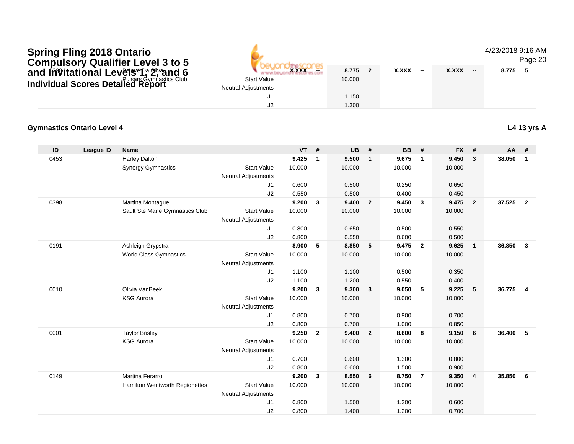### **Provincial Levels of Silvand 6** Below Below West States Pulsars Gymnastics ClubSpring Fling 2018 Ontario<br>Compulsory Qualifier Level 3 to 5<br>and I<del>ñv</del>itational Lev閉sfPa?Ivand 6<br>Individual Scores Detailed Report

**Gymnastics Ontario Level 4**

| 5 |                            |        |                          |             |                                          | 4/23/2018 9.1<br>Pa |  |
|---|----------------------------|--------|--------------------------|-------------|------------------------------------------|---------------------|--|
|   | <b>X.XXX</b><br>æ.         | 8.775  | $\overline{\phantom{a}}$ | X.XXX<br>-- | <b>X.XXX</b><br>$\overline{\phantom{a}}$ | - 5<br>8.775        |  |
| C | <b>Start Value</b>         | 10.000 |                          |             |                                          |                     |  |
|   | <b>Neutral Adjustments</b> |        |                          |             |                                          |                     |  |
|   | J1                         | 1.150  |                          |             |                                          |                     |  |
|   | J2                         | 1.300  |                          |             |                                          |                     |  |

A

#### 4/23/2018 9:16 AM

Page 20

#### **L4 13 yrs A**

| ID   | <b>League ID</b> | <b>Name</b>                           |                            | <b>VT</b> | #              | <b>UB</b> | #              | <b>BB</b> | #                       | <b>FX</b> | #                       | AA     | #              |
|------|------------------|---------------------------------------|----------------------------|-----------|----------------|-----------|----------------|-----------|-------------------------|-----------|-------------------------|--------|----------------|
| 0453 |                  | <b>Harley Dalton</b>                  |                            | 9.425     | $\mathbf{1}$   | 9.500     | $\mathbf{1}$   | 9.675     | $\overline{1}$          | 9.450     | $\mathbf{3}$            | 38.050 | $\mathbf{1}$   |
|      |                  | <b>Synergy Gymnastics</b>             | <b>Start Value</b>         | 10.000    |                | 10.000    |                | 10.000    |                         | 10.000    |                         |        |                |
|      |                  |                                       | <b>Neutral Adjustments</b> |           |                |           |                |           |                         |           |                         |        |                |
|      |                  |                                       | J1                         | 0.600     |                | 0.500     |                | 0.250     |                         | 0.650     |                         |        |                |
|      |                  |                                       | J2                         | 0.550     |                | 0.500     |                | 0.400     |                         | 0.450     |                         |        |                |
| 0398 |                  | Martina Montague                      |                            | 9.200     | 3              | 9.400     | $\overline{2}$ | 9.450     | $\overline{\mathbf{3}}$ | 9.475     | $\overline{\mathbf{2}}$ | 37.525 | $\overline{2}$ |
|      |                  | Sault Ste Marie Gymnastics Club       | <b>Start Value</b>         | 10.000    |                | 10.000    |                | 10.000    |                         | 10.000    |                         |        |                |
|      |                  |                                       | <b>Neutral Adjustments</b> |           |                |           |                |           |                         |           |                         |        |                |
|      |                  |                                       | J1                         | 0.800     |                | 0.650     |                | 0.500     |                         | 0.550     |                         |        |                |
|      |                  |                                       | J2                         | 0.800     |                | 0.550     |                | 0.600     |                         | 0.500     |                         |        |                |
| 0191 |                  | Ashleigh Grypstra                     |                            | 8.900     | 5              | 8.850     | 5              | 9.475     | $\overline{2}$          | 9.625     | $\overline{1}$          | 36.850 | $\overline{3}$ |
|      |                  | <b>World Class Gymnastics</b>         | <b>Start Value</b>         | 10.000    |                | 10.000    |                | 10.000    |                         | 10.000    |                         |        |                |
|      |                  |                                       | <b>Neutral Adjustments</b> |           |                |           |                |           |                         |           |                         |        |                |
|      |                  |                                       | J1                         | 1.100     |                | 1.100     |                | 0.500     |                         | 0.350     |                         |        |                |
|      |                  |                                       | J2                         | 1.100     |                | 1.200     |                | 0.550     |                         | 0.400     |                         |        |                |
| 0010 |                  | Olivia VanBeek                        |                            | 9.200     | $\mathbf{3}$   | 9.300     | $\mathbf{3}$   | 9.050     | 5                       | 9.225     | 5                       | 36.775 | $\overline{4}$ |
|      |                  | <b>KSG Aurora</b>                     | <b>Start Value</b>         | 10.000    |                | 10.000    |                | 10.000    |                         | 10.000    |                         |        |                |
|      |                  |                                       | <b>Neutral Adjustments</b> |           |                |           |                |           |                         |           |                         |        |                |
|      |                  |                                       | J1                         | 0.800     |                | 0.700     |                | 0.900     |                         | 0.700     |                         |        |                |
|      |                  |                                       | J2                         | 0.800     |                | 0.700     |                | 1.000     |                         | 0.850     |                         |        |                |
| 0001 |                  | <b>Taylor Brisley</b>                 |                            | 9.250     | $\overline{2}$ | 9.400     | $\overline{2}$ | 8.600     | 8                       | 9.150     | 6                       | 36.400 | 5              |
|      |                  | <b>KSG Aurora</b>                     | <b>Start Value</b>         | 10.000    |                | 10.000    |                | 10.000    |                         | 10.000    |                         |        |                |
|      |                  |                                       | <b>Neutral Adjustments</b> |           |                |           |                |           |                         |           |                         |        |                |
|      |                  |                                       | J1                         | 0.700     |                | 0.600     |                | 1.300     |                         | 0.800     |                         |        |                |
|      |                  |                                       | J2                         | 0.800     |                | 0.600     |                | 1.500     |                         | 0.900     |                         |        |                |
| 0149 |                  | <b>Martina Ferarro</b>                |                            | 9.200     | $\mathbf{3}$   | 8.550     | 6              | 8.750     | $\overline{7}$          | 9.350     | $\overline{4}$          | 35.850 | 6              |
|      |                  | <b>Hamilton Wentworth Regionettes</b> | <b>Start Value</b>         | 10.000    |                | 10.000    |                | 10.000    |                         | 10.000    |                         |        |                |
|      |                  |                                       | <b>Neutral Adjustments</b> |           |                |           |                |           |                         |           |                         |        |                |
|      |                  |                                       | J1                         | 0.800     |                | 1.500     |                | 1.300     |                         | 0.600     |                         |        |                |
|      |                  |                                       | J2                         | 0.800     |                | 1.400     |                | 1.200     |                         | 0.700     |                         |        |                |
|      |                  |                                       |                            |           |                |           |                |           |                         |           |                         |        |                |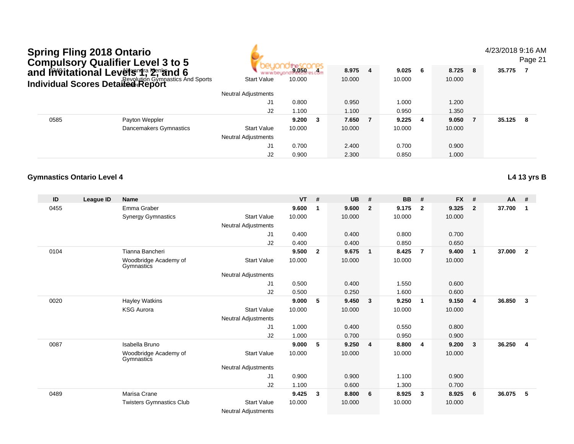|      | <b>Spring Fling 2018 Ontario</b>  | Compulsory Qualifier Level 3 to 5<br>and Invitational Levets 1, 2, and 6 |                                                  |           |                |           |                         |           |                |           |                | 4/23/2018 9:16 AM | Page 21        |
|------|-----------------------------------|--------------------------------------------------------------------------|--------------------------------------------------|-----------|----------------|-----------|-------------------------|-----------|----------------|-----------|----------------|-------------------|----------------|
|      |                                   |                                                                          | www.                                             | 9.050 4   |                | 8.975     | $\overline{4}$          | 9.025     | 6              | 8.725     | 8              | 35.775            | - 7            |
|      |                                   | <b>Individual Scores Detailed Revolution Gymnastics And Sports</b>       | <b>Start Value</b>                               | 10.000    |                | 10.000    |                         | 10.000    |                | 10.000    |                |                   |                |
|      |                                   |                                                                          | <b>Neutral Adjustments</b>                       |           |                |           |                         |           |                |           |                |                   |                |
|      |                                   |                                                                          | J1                                               | 0.800     |                | 0.950     |                         | 1.000     |                | 1.200     |                |                   |                |
|      |                                   |                                                                          | J2                                               | 1.100     |                | 1.100     |                         | 0.950     |                | 1.350     |                |                   |                |
| 0585 |                                   | Payton Weppler                                                           |                                                  | 9.200     | 3              | 7.650     | $\overline{7}$          | 9.225     | 4              | 9.050     | $\overline{7}$ | 35.125            | 8              |
|      |                                   | Dancemakers Gymnastics                                                   | <b>Start Value</b><br><b>Neutral Adjustments</b> | 10.000    |                | 10.000    |                         | 10.000    |                | 10.000    |                |                   |                |
|      |                                   |                                                                          | J1                                               | 0.700     |                | 2.400     |                         | 0.700     |                | 0.900     |                |                   |                |
|      |                                   |                                                                          | J2                                               | 0.900     |                | 2.300     |                         | 0.850     |                | 1.000     |                |                   |                |
|      | <b>Gymnastics Ontario Level 4</b> |                                                                          |                                                  |           |                |           |                         |           |                |           |                |                   | L4 13 yrs B    |
| ID   | <b>League ID</b>                  | <b>Name</b>                                                              |                                                  | <b>VT</b> | #              | <b>UB</b> | #                       | <b>BB</b> | #              | <b>FX</b> | #              | AA                | #              |
| 0455 |                                   | Emma Graber                                                              |                                                  | 9.600     | $\mathbf{1}$   | 9.600     | $\overline{2}$          | 9.175     | $\overline{2}$ | 9.325     | $\overline{2}$ | 37.700            | $\overline{1}$ |
|      |                                   | <b>Synergy Gymnastics</b>                                                | <b>Start Value</b><br><b>Neutral Adjustments</b> | 10.000    |                | 10.000    |                         | 10.000    |                | 10.000    |                |                   |                |
|      |                                   |                                                                          | J1                                               | 0.400     |                | 0.400     |                         | 0.800     |                | 0.700     |                |                   |                |
|      |                                   |                                                                          | J2                                               | 0.400     |                | 0.400     |                         | 0.850     |                | 0.650     |                |                   |                |
| 0104 |                                   | Tianna Bancheri                                                          |                                                  | 9.500     | $\overline{2}$ | 9.675     | $\mathbf{1}$            | 8.425     | $\overline{7}$ | 9.400     | $\mathbf{1}$   | 37.000            | $\overline{2}$ |
|      |                                   | Woodbridge Academy of<br>Gymnastics                                      | <b>Start Value</b>                               | 10.000    |                | 10.000    |                         | 10.000    |                | 10.000    |                |                   |                |
|      |                                   |                                                                          | <b>Neutral Adjustments</b><br>J1                 | 0.500     |                | 0.400     |                         | 1.550     |                | 0.600     |                |                   |                |
|      |                                   |                                                                          | J2                                               | 0.500     |                | 0.250     |                         | 1.600     |                | 0.600     |                |                   |                |
| 0020 |                                   | <b>Hayley Watkins</b>                                                    |                                                  | 9.000     | 5              | 9.450     | $\mathbf{3}$            | 9.250     | $\overline{1}$ | 9.150     | $\overline{4}$ | 36.850            | $\mathbf{3}$   |
|      |                                   | <b>KSG Aurora</b>                                                        | <b>Start Value</b><br><b>Neutral Adjustments</b> | 10.000    |                | 10.000    |                         | 10.000    |                | 10.000    |                |                   |                |
|      |                                   |                                                                          | J1                                               | 1.000     |                | 0.400     |                         | 0.550     |                | 0.800     |                |                   |                |
|      |                                   |                                                                          | J2                                               | 1.000     |                | 0.700     |                         | 0.950     |                | 0.900     |                |                   |                |
| 0087 |                                   | Isabella Bruno                                                           |                                                  | 9.000     | $\sqrt{5}$     | 9.250     | $\overline{\mathbf{4}}$ | 8.800     | 4              | 9.200     | $\mathbf{3}$   | 36.250            | $\overline{4}$ |
|      |                                   | Woodbridge Academy of<br>Gymnastics                                      | <b>Start Value</b>                               | 10.000    |                | 10.000    |                         | 10.000    |                | 10.000    |                |                   |                |
|      |                                   |                                                                          | <b>Neutral Adjustments</b>                       |           |                |           |                         |           |                |           |                |                   |                |
|      |                                   |                                                                          | J1                                               | 0.900     |                | 0.900     |                         | 1.100     |                | 0.900     |                |                   |                |
|      |                                   |                                                                          | J2                                               | 1.100     |                | 0.600     |                         | 1.300     |                | 0.700     |                |                   |                |
| 0489 |                                   | Marisa Crane                                                             |                                                  | 9.425     | $\mathbf{3}$   | 8.800     | 6                       | 8.925     | 3              | 8.925     | 6              | 36.075            | 5              |
|      |                                   | <b>Twisters Gymnastics Club</b>                                          | <b>Start Value</b><br><b>Neutral Adjustments</b> | 10.000    |                | 10.000    |                         | 10.000    |                | 10.000    |                |                   |                |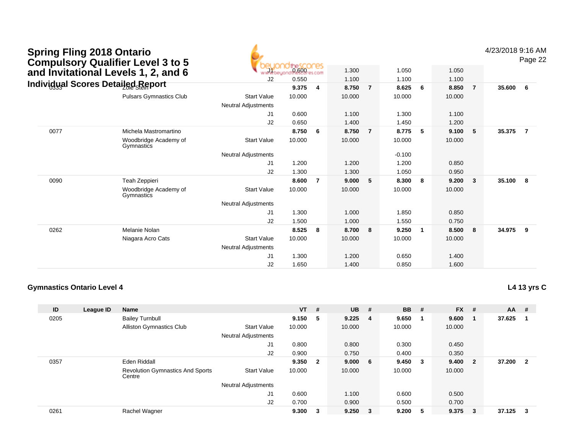| <b>Spring Fling 2018 Ontario</b><br><b>Compulsory Qualifier Level 3 to 5</b> |      |                                     | 0.600                      |        |                |                |                |          |       |                |        |        | 4/23/2018 9:16 AM<br>Page 22 |  |
|------------------------------------------------------------------------------|------|-------------------------------------|----------------------------|--------|----------------|----------------|----------------|----------|-------|----------------|--------|--------|------------------------------|--|
|                                                                              |      | and Invitational Levels 1, 2, and 6 |                            |        |                | 1.300          |                | 1.050    |       | 1.050          |        |        |                              |  |
|                                                                              |      |                                     | J2                         | 0.550  |                | 1.100          |                | 1.100    |       | 1.100          |        |        |                              |  |
| <b>Individual Scores Detailed Report</b>                                     |      |                                     | 9.375                      | 4      | 8.750          | $\overline{7}$ | 8.625          | 6        | 8.850 | $\overline{7}$ | 35.600 | - 6    |                              |  |
|                                                                              |      | <b>Pulsars Gymnastics Club</b>      | <b>Start Value</b>         | 10.000 |                | 10.000         |                | 10.000   |       | 10.000         |        |        |                              |  |
|                                                                              |      |                                     | <b>Neutral Adjustments</b> |        |                |                |                |          |       |                |        |        |                              |  |
|                                                                              |      |                                     | J1                         | 0.600  |                | 1.100          |                | 1.300    |       | 1.100          |        |        |                              |  |
|                                                                              |      |                                     | J2                         | 0.650  |                | 1.400          |                | 1.450    |       | 1.200          |        |        |                              |  |
|                                                                              | 0077 | Michela Mastromartino               |                            | 8.750  | 6              | 8.750          | $\overline{7}$ | 8.775    | 5     | 9.100          | 5      | 35.375 | $\overline{7}$               |  |
|                                                                              |      | Woodbridge Academy of<br>Gymnastics | <b>Start Value</b>         | 10.000 |                | 10.000         |                | 10.000   |       | 10.000         |        |        |                              |  |
|                                                                              |      |                                     | <b>Neutral Adjustments</b> |        |                |                |                | $-0.100$ |       |                |        |        |                              |  |
|                                                                              |      |                                     | J <sub>1</sub>             | 1.200  |                | 1.200          |                | 1.200    |       | 0.850          |        |        |                              |  |
|                                                                              |      |                                     | J2                         | 1.300  |                | 1.300          |                | 1.050    |       | 0.950          |        |        |                              |  |
|                                                                              | 0090 | Teah Zeppieri                       |                            | 8.600  | $\overline{7}$ | 9.000          | 5              | 8.300    | 8     | 9.200          | 3      | 35.100 | -8                           |  |
|                                                                              |      | Woodbridge Academy of<br>Gymnastics | <b>Start Value</b>         | 10.000 |                | 10.000         |                | 10.000   |       | 10.000         |        |        |                              |  |
|                                                                              |      |                                     | <b>Neutral Adjustments</b> |        |                |                |                |          |       |                |        |        |                              |  |
|                                                                              |      |                                     | J <sub>1</sub>             | 1.300  |                | 1.000          |                | 1.850    |       | 0.850          |        |        |                              |  |
|                                                                              |      |                                     | J2                         | 1.500  |                | 1.000          |                | 1.550    |       | 0.750          |        |        |                              |  |
|                                                                              | 0262 | Melanie Nolan                       |                            | 8.525  | 8              | 8.700          | 8              | 9.250    | -1    | 8.500          | 8      | 34.975 | 9                            |  |
|                                                                              |      | Niagara Acro Cats                   | <b>Start Value</b>         | 10.000 |                | 10.000         |                | 10.000   |       | 10.000         |        |        |                              |  |
|                                                                              |      |                                     | <b>Neutral Adjustments</b> |        |                |                |                |          |       |                |        |        |                              |  |
|                                                                              |      |                                     | J1                         | 1.300  |                | 1.200          |                | 0.650    |       | 1.400          |        |        |                              |  |
|                                                                              |      |                                     | J <sub>2</sub>             | 1.650  |                | 1.400          |                | 0.850    |       | 1.600          |        |        |                              |  |

**L4 13 yrs C**

| ID   | League ID | Name                                              |                     | $VT$ # |                         | <b>UB</b>   | #                        | <b>BB</b> | #                       | <b>FX</b> | #                       | $AA$ # |              |
|------|-----------|---------------------------------------------------|---------------------|--------|-------------------------|-------------|--------------------------|-----------|-------------------------|-----------|-------------------------|--------|--------------|
|      |           |                                                   |                     |        |                         |             |                          |           |                         |           |                         |        |              |
| 0205 |           | <b>Bailey Turnbull</b>                            |                     | 9.150  | -5                      | $9.225 \ 4$ |                          | 9.650     |                         | 9.600     |                         | 37.625 |              |
|      |           | Alliston Gymnastics Club                          | <b>Start Value</b>  | 10.000 |                         | 10.000      |                          | 10.000    |                         | 10.000    |                         |        |              |
|      |           |                                                   | Neutral Adjustments |        |                         |             |                          |           |                         |           |                         |        |              |
|      |           |                                                   | J1                  | 0.800  |                         | 0.800       |                          | 0.300     |                         | 0.450     |                         |        |              |
|      |           |                                                   | J2                  | 0.900  |                         | 0.750       |                          | 0.400     |                         | 0.350     |                         |        |              |
| 0357 |           | Eden Riddall                                      |                     | 9.350  | $\overline{\mathbf{2}}$ | 9.000       | 6                        | 9.450     | $\overline{\mathbf{3}}$ | 9.400     | $\overline{\mathbf{2}}$ | 37.200 | $\mathbf{2}$ |
|      |           | <b>Revolution Gymnastics And Sports</b><br>Centre | <b>Start Value</b>  | 10.000 |                         | 10.000      |                          | 10.000    |                         | 10.000    |                         |        |              |
|      |           |                                                   | Neutral Adjustments |        |                         |             |                          |           |                         |           |                         |        |              |
|      |           |                                                   | J1                  | 0.600  |                         | 1.100       |                          | 0.600     |                         | 0.500     |                         |        |              |
|      |           |                                                   | J2                  | 0.700  |                         | 0.900       |                          | 0.500     |                         | 0.700     |                         |        |              |
| 0261 |           | Rachel Wagner                                     |                     | 9.300  | 3                       | 9.250       | $\overline{\phantom{a}}$ | 9.200     | -5                      | 9.375     | -3                      | 37.125 | 3            |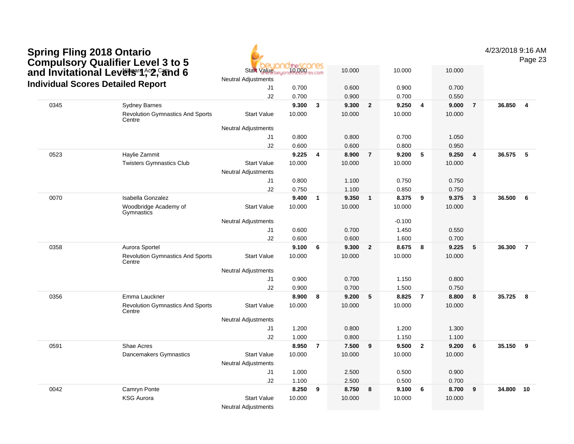| <b>Spring Fling 2018 Ontario</b><br><b>Compulsory Qualifier Level 3 to 5</b><br>and Invitational Levels 1, 2, and 6<br><b>Individual Scores Detailed Report</b> |      |                                                                           |                            |        |                         |        |                |          |                |        | 4/23/2018 9:16 AM | Page 23 |                |
|-----------------------------------------------------------------------------------------------------------------------------------------------------------------|------|---------------------------------------------------------------------------|----------------------------|--------|-------------------------|--------|----------------|----------|----------------|--------|-------------------|---------|----------------|
|                                                                                                                                                                 |      | ores:<br>$10.000 - 1$<br><b>Start Value</b><br><b>Neutral Adjustments</b> |                            |        | 10.000                  |        | 10.000         |          | 10.000         |        |                   |         |                |
|                                                                                                                                                                 |      | J1                                                                        | 0.700                      |        | 0.600                   |        | 0.900          |          | 0.700          |        |                   |         |                |
|                                                                                                                                                                 |      |                                                                           | J2                         | 0.700  |                         | 0.900  |                | 0.700    |                | 0.550  |                   |         |                |
|                                                                                                                                                                 | 0345 | <b>Sydney Barnes</b>                                                      |                            | 9.300  | $\overline{3}$          | 9.300  | $\overline{2}$ | 9.250    | $\overline{4}$ | 9.000  | $\overline{7}$    | 36.850  | $\overline{4}$ |
|                                                                                                                                                                 |      | <b>Revolution Gymnastics And Sports</b><br>Centre                         | <b>Start Value</b>         | 10.000 |                         | 10.000 |                | 10.000   |                | 10.000 |                   |         |                |
|                                                                                                                                                                 |      |                                                                           | Neutral Adjustments        |        |                         |        |                |          |                |        |                   |         |                |
|                                                                                                                                                                 |      |                                                                           | J1                         | 0.800  |                         | 0.800  |                | 0.700    |                | 1.050  |                   |         |                |
|                                                                                                                                                                 |      |                                                                           | J2                         | 0.600  |                         | 0.600  |                | 0.800    |                | 0.950  |                   |         |                |
|                                                                                                                                                                 | 0523 | Haylie Zammit                                                             |                            | 9.225  | $\overline{4}$          | 8.900  | $\overline{7}$ | 9.200    | -5             | 9.250  | $\overline{4}$    | 36.575  | 5              |
|                                                                                                                                                                 |      | <b>Twisters Gymnastics Club</b>                                           | <b>Start Value</b>         | 10.000 |                         | 10.000 |                | 10.000   |                | 10.000 |                   |         |                |
|                                                                                                                                                                 |      |                                                                           | <b>Neutral Adjustments</b> |        |                         |        |                |          |                |        |                   |         |                |
|                                                                                                                                                                 |      |                                                                           | J1                         | 0.800  |                         | 1.100  |                | 0.750    |                | 0.750  |                   |         |                |
|                                                                                                                                                                 |      |                                                                           | J2                         | 0.750  |                         | 1.100  |                | 0.850    |                | 0.750  |                   |         |                |
|                                                                                                                                                                 | 0070 | <b>Isabella Gonzalez</b>                                                  |                            | 9.400  | $\overline{\mathbf{1}}$ | 9.350  | $\mathbf{1}$   | 8.375    | 9              | 9.375  | $\mathbf{3}$      | 36.500  | 6              |
|                                                                                                                                                                 |      | Woodbridge Academy of<br>Gymnastics                                       | <b>Start Value</b>         | 10.000 |                         | 10.000 |                | 10.000   |                | 10.000 |                   |         |                |
|                                                                                                                                                                 |      |                                                                           | Neutral Adjustments        |        |                         |        |                | $-0.100$ |                |        |                   |         |                |
|                                                                                                                                                                 |      |                                                                           | J1                         | 0.600  |                         | 0.700  |                | 1.450    |                | 0.550  |                   |         |                |
|                                                                                                                                                                 |      |                                                                           | J2                         | 0.600  |                         | 0.600  |                | 1.600    |                | 0.700  |                   |         |                |
|                                                                                                                                                                 | 0358 | Aurora Sportel                                                            |                            | 9.100  | 6                       | 9.300  | $\overline{2}$ | 8.675    | 8              | 9.225  | 5                 | 36.300  | $\overline{7}$ |
|                                                                                                                                                                 |      | <b>Revolution Gymnastics And Sports</b><br>Centre                         | <b>Start Value</b>         | 10.000 |                         | 10.000 |                | 10.000   |                | 10.000 |                   |         |                |
|                                                                                                                                                                 |      |                                                                           | <b>Neutral Adjustments</b> |        |                         |        |                |          |                |        |                   |         |                |
|                                                                                                                                                                 |      |                                                                           | J1                         | 0.900  |                         | 0.700  |                | 1.150    |                | 0.800  |                   |         |                |
|                                                                                                                                                                 |      |                                                                           | J2                         | 0.900  |                         | 0.700  |                | 1.500    |                | 0.750  |                   |         |                |
|                                                                                                                                                                 | 0356 | Emma Lauckner                                                             |                            | 8.900  | 8                       | 9.200  | 5              | 8.825    | $\overline{7}$ | 8.800  | 8                 | 35.725  | - 8            |
|                                                                                                                                                                 |      | <b>Revolution Gymnastics And Sports</b><br>Centre                         | <b>Start Value</b>         | 10.000 |                         | 10.000 |                | 10.000   |                | 10.000 |                   |         |                |
|                                                                                                                                                                 |      |                                                                           | <b>Neutral Adjustments</b> |        |                         |        |                |          |                |        |                   |         |                |
|                                                                                                                                                                 |      |                                                                           | J1                         | 1.200  |                         | 0.800  |                | 1.200    |                | 1.300  |                   |         |                |
|                                                                                                                                                                 |      |                                                                           | J2                         | 1.000  |                         | 0.800  |                | 1.150    |                | 1.100  |                   |         |                |
|                                                                                                                                                                 | 0591 | Shae Acres                                                                |                            | 8.950  | $\overline{7}$          | 7.500  | 9              | 9.500    | $\overline{2}$ | 9.200  | 6                 | 35.150  | 9              |
|                                                                                                                                                                 |      | Dancemakers Gymnastics                                                    | <b>Start Value</b>         | 10.000 |                         | 10.000 |                | 10.000   |                | 10.000 |                   |         |                |
|                                                                                                                                                                 |      |                                                                           | <b>Neutral Adjustments</b> |        |                         |        |                |          |                |        |                   |         |                |
|                                                                                                                                                                 |      |                                                                           | J1                         | 1.000  |                         | 2.500  |                | 0.500    |                | 0.900  |                   |         |                |
|                                                                                                                                                                 |      |                                                                           | J2                         | 1.100  |                         | 2.500  |                | 0.500    |                | 0.700  |                   |         |                |
|                                                                                                                                                                 | 0042 | Camryn Ponte                                                              |                            | 8.250  | 9                       | 8.750  | 8              | 9.100    | 6              | 8.700  | 9                 | 34.800  | 10             |
|                                                                                                                                                                 |      | <b>KSG Aurora</b>                                                         | <b>Start Value</b>         | 10.000 |                         | 10.000 |                | 10.000   |                | 10.000 |                   |         |                |
|                                                                                                                                                                 |      |                                                                           | <b>Neutral Adjustments</b> |        |                         |        |                |          |                |        |                   |         |                |